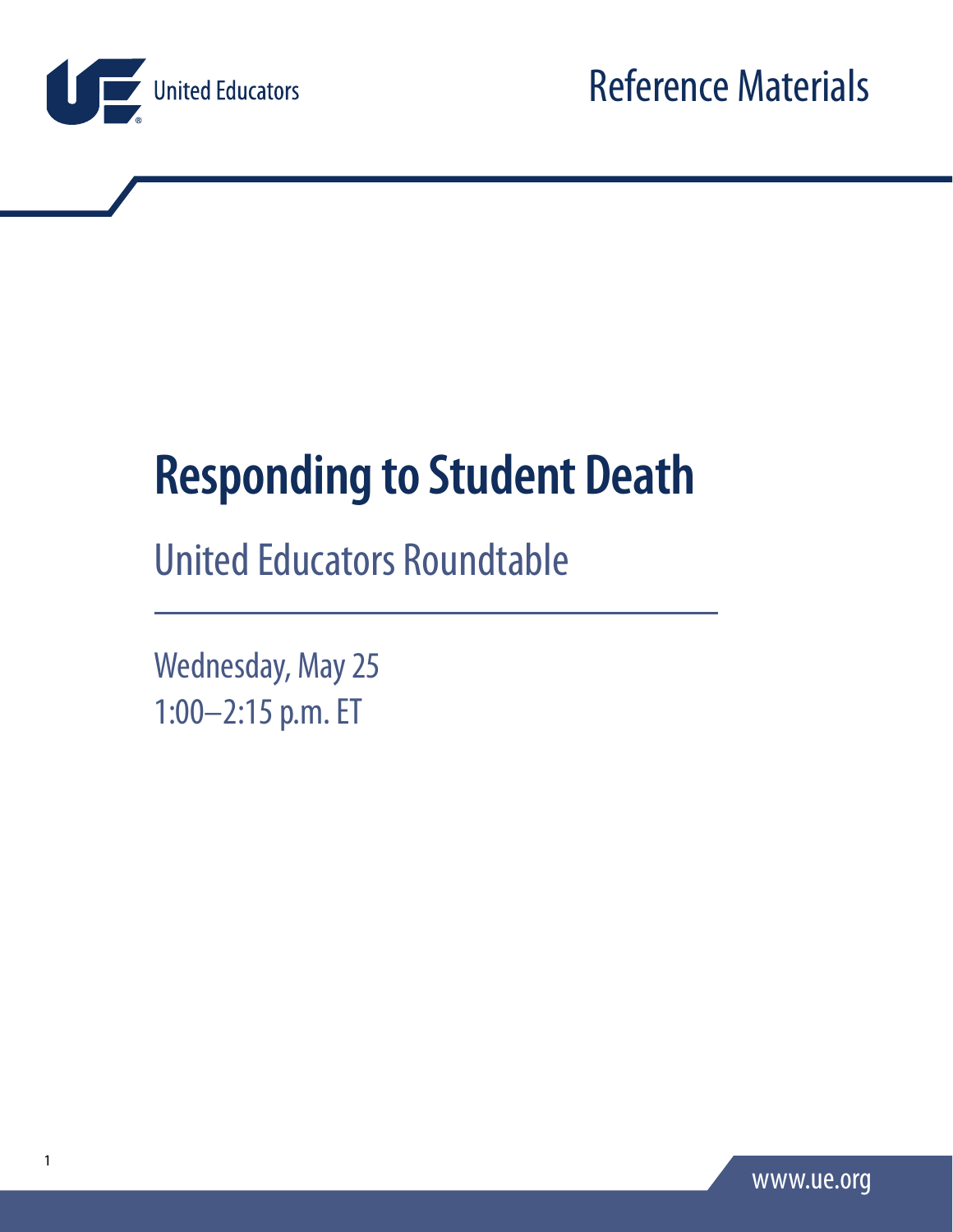

# **Responding to Student Death**

## United Educators Roundtable

Wednesday, May 25 1:00–2:15 p.m. ET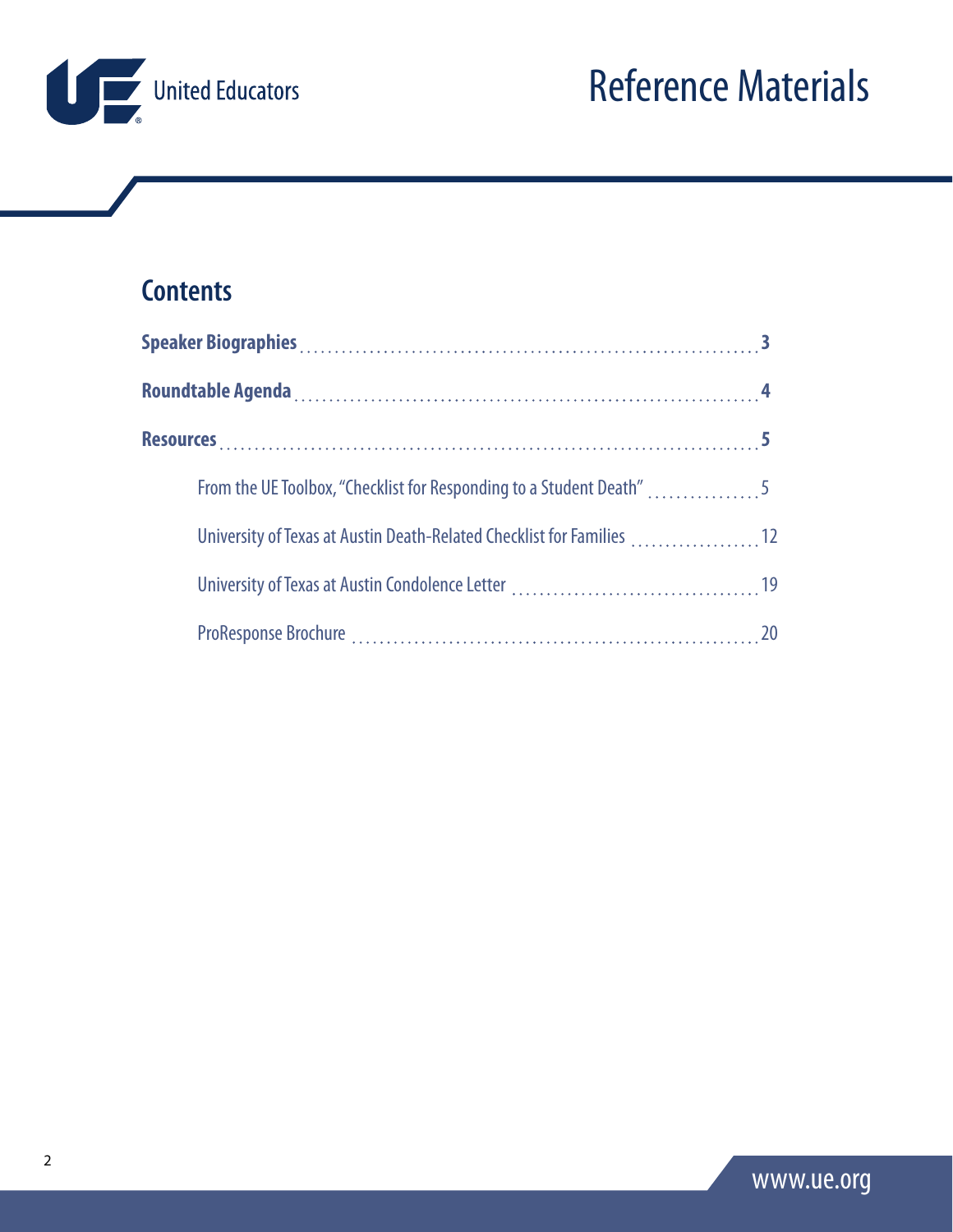

## **Contents**

| From the UE Toolbox, "Checklist for Responding to a Student Death" 5   |  |
|------------------------------------------------------------------------|--|
| University of Texas at Austin Death-Related Checklist for Families  12 |  |
|                                                                        |  |
|                                                                        |  |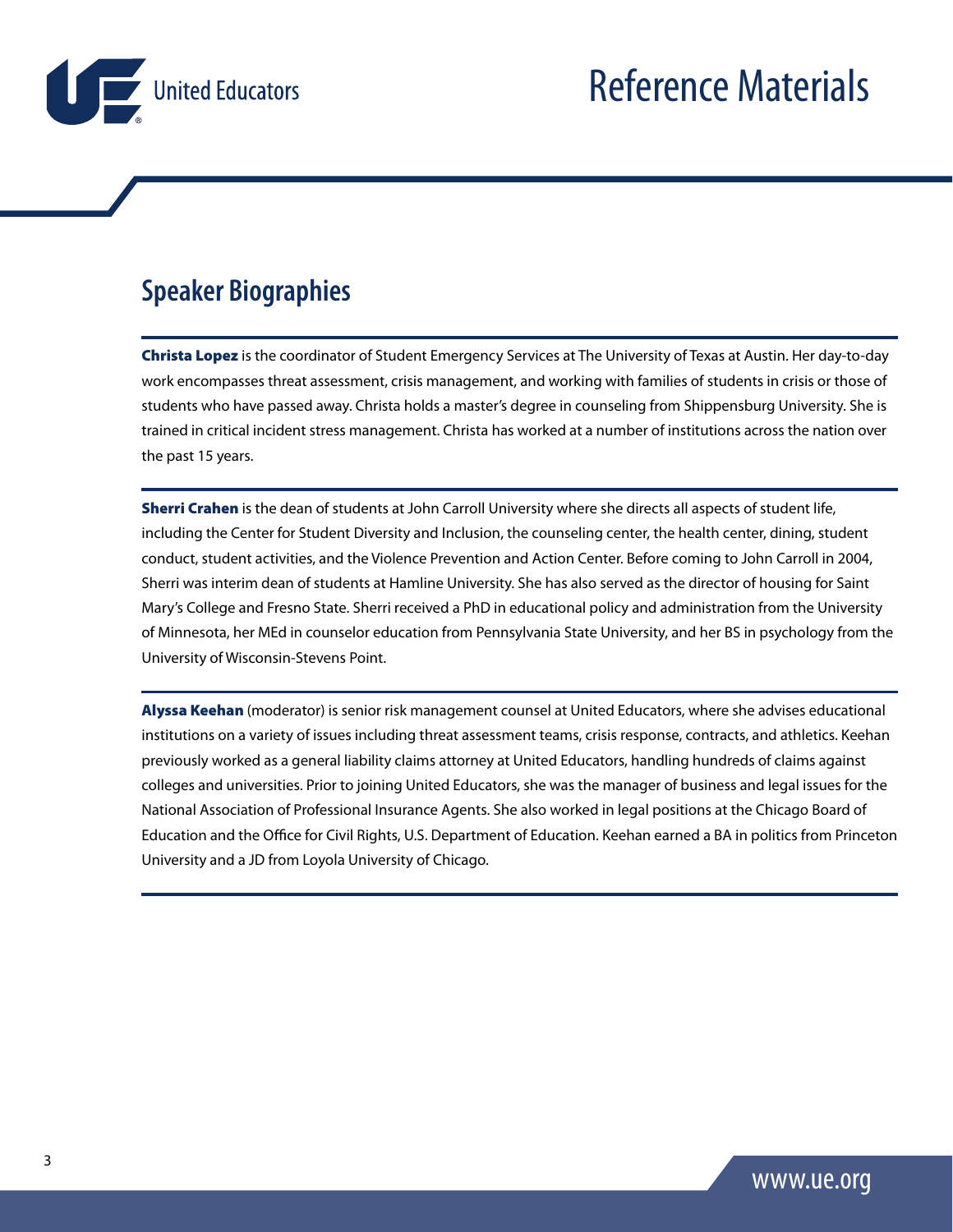<span id="page-2-0"></span>

### **Speaker Biographies**

Christa Lopez is the coordinator of Student Emergency Services at The University of Texas at Austin. Her day-to-day work encompasses threat assessment, crisis management, and working with families of students in crisis or those of students who have passed away. Christa holds a master's degree in counseling from Shippensburg University. She is trained in critical incident stress management. Christa has worked at a number of institutions across the nation over the past 15 years.

Sherri Crahen is the dean of students at John Carroll University where she directs all aspects of student life, including the Center for Student Diversity and Inclusion, the counseling center, the health center, dining, student conduct, student activities, and the Violence Prevention and Action Center. Before coming to John Carroll in 2004, Sherri was interim dean of students at Hamline University. She has also served as the director of housing for Saint Mary's College and Fresno State. Sherri received a PhD in educational policy and administration from the University of Minnesota, her MEd in counselor education from Pennsylvania State University, and her BS in psychology from the University of Wisconsin-Stevens Point.

Alyssa Keehan (moderator) is senior risk management counsel at United Educators, where she advises educational institutions on a variety of issues including threat assessment teams, crisis response, contracts, and athletics. Keehan previously worked as a general liability claims attorney at United Educators, handling hundreds of claims against colleges and universities. Prior to joining United Educators, she was the manager of business and legal issues for the National Association of Professional Insurance Agents. She also worked in legal positions at the Chicago Board of Education and the Office for Civil Rights, U.S. Department of Education. Keehan earned a BA in politics from Princeton University and a JD from Loyola University of Chicago.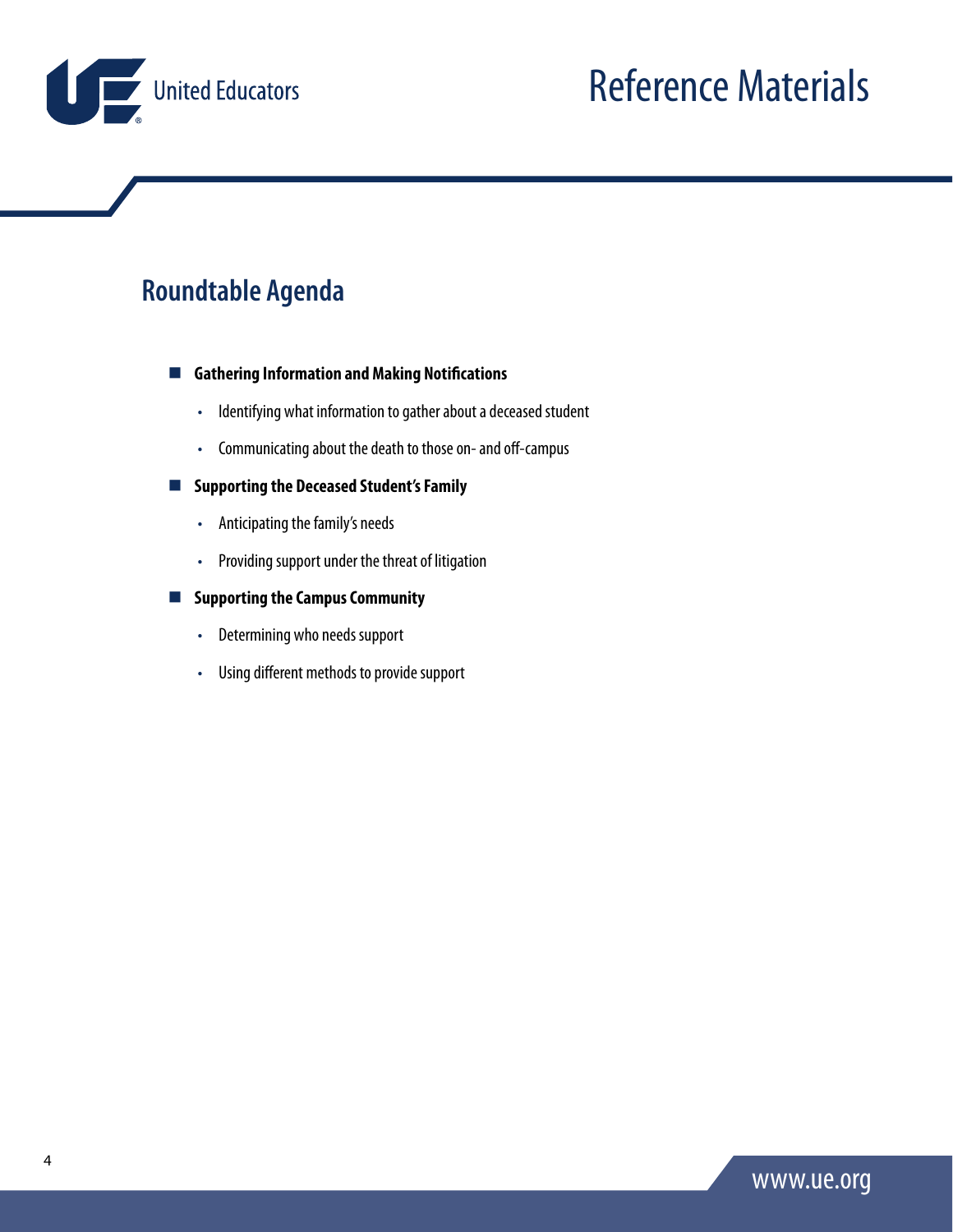<span id="page-3-0"></span>

### **Roundtable Agenda**

**Gathering Information and Making Notifications**

- Identifying what information to gather about a deceased student
- Communicating about the death to those on- and off-campus

#### **Supporting the Deceased Student's Family**

- Anticipating the family's needs
- Providing support under the threat of litigation

#### **Supporting the Campus Community**

- Determining who needs support
- Using different methods to provide support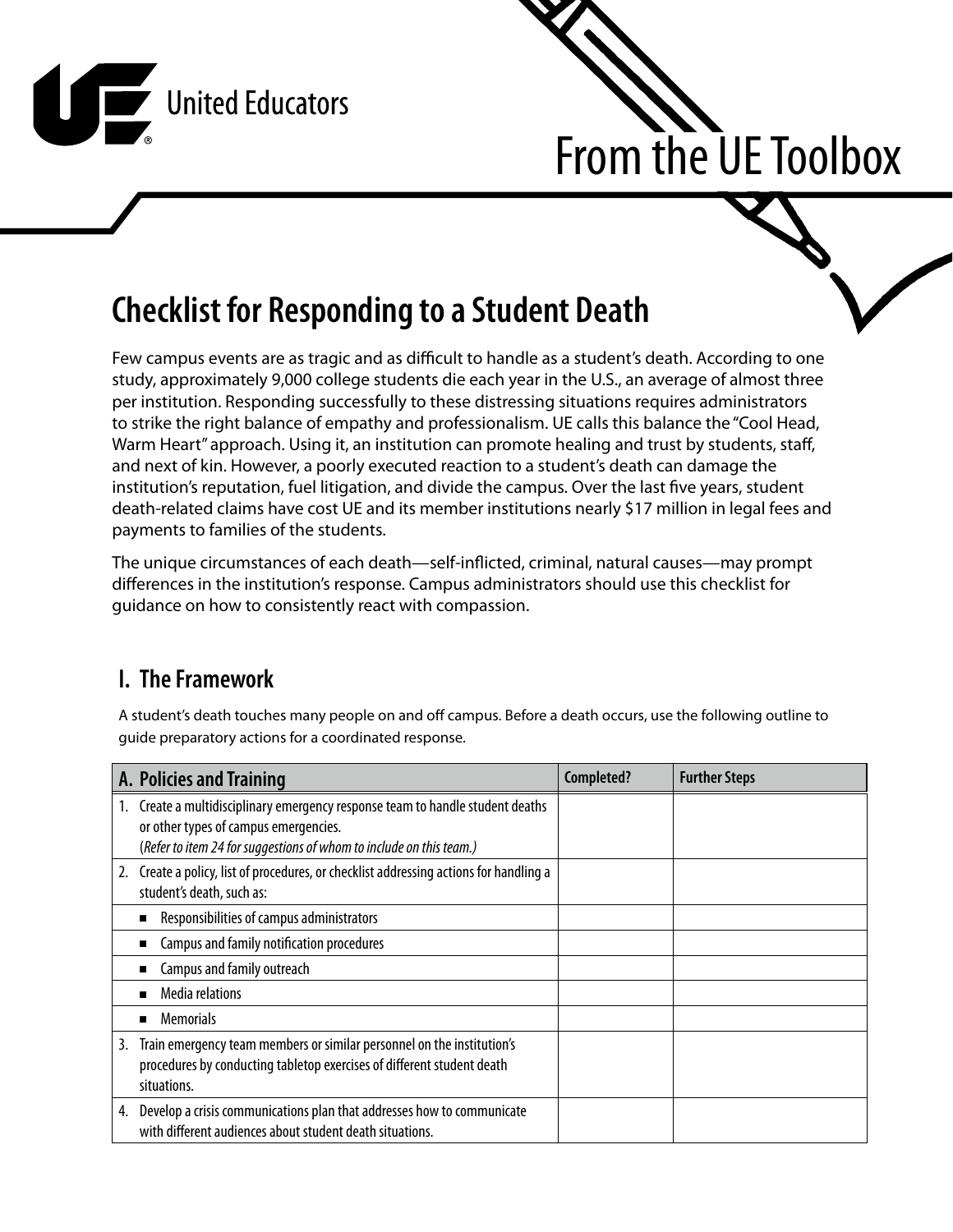<span id="page-4-0"></span>



## **Checklist for Responding to a Student Death**

Few campus events are as tragic and as difficult to handle as a student's death. According to one study, approximately 9,000 college students die each year in the U.S., an average of almost three per institution. Responding successfully to these distressing situations requires administrators to strike the right balance of empathy and professionalism. UE calls this balance the "Cool Head, Warm Heart" approach. Using it, an institution can promote healing and trust by students, staff, and next of kin. However, a poorly executed reaction to a student's death can damage the institution's reputation, fuel litigation, and divide the campus. Over the last five years, student death-related claims have cost UE and its member institutions nearly \$17 million in legal fees and payments to families of the students.

The unique circumstances of each death—self-inflicted, criminal, natural causes—may prompt differences in the institution's response. Campus administrators should use this checklist for guidance on how to consistently react with compassion.

### **I. The Framework**

A student's death touches many people on and off campus. Before a death occurs, use the following outline to guide preparatory actions for a coordinated response.

|    | A. Policies and Training                                                                                                                                                                    | Completed? | <b>Further Steps</b> |
|----|---------------------------------------------------------------------------------------------------------------------------------------------------------------------------------------------|------------|----------------------|
| 1. | Create a multidisciplinary emergency response team to handle student deaths<br>or other types of campus emergencies.<br>(Refer to item 24 for suggestions of whom to include on this team.) |            |                      |
| 2. | Create a policy, list of procedures, or checklist addressing actions for handling a<br>student's death, such as:                                                                            |            |                      |
|    | Responsibilities of campus administrators                                                                                                                                                   |            |                      |
|    | Campus and family notification procedures                                                                                                                                                   |            |                      |
|    | Campus and family outreach                                                                                                                                                                  |            |                      |
|    | <b>Media relations</b>                                                                                                                                                                      |            |                      |
|    | <b>Memorials</b><br>п                                                                                                                                                                       |            |                      |
| 3. | Train emergency team members or similar personnel on the institution's<br>procedures by conducting tabletop exercises of different student death<br>situations.                             |            |                      |
| 4. | Develop a crisis communications plan that addresses how to communicate<br>with different audiences about student death situations.                                                          |            |                      |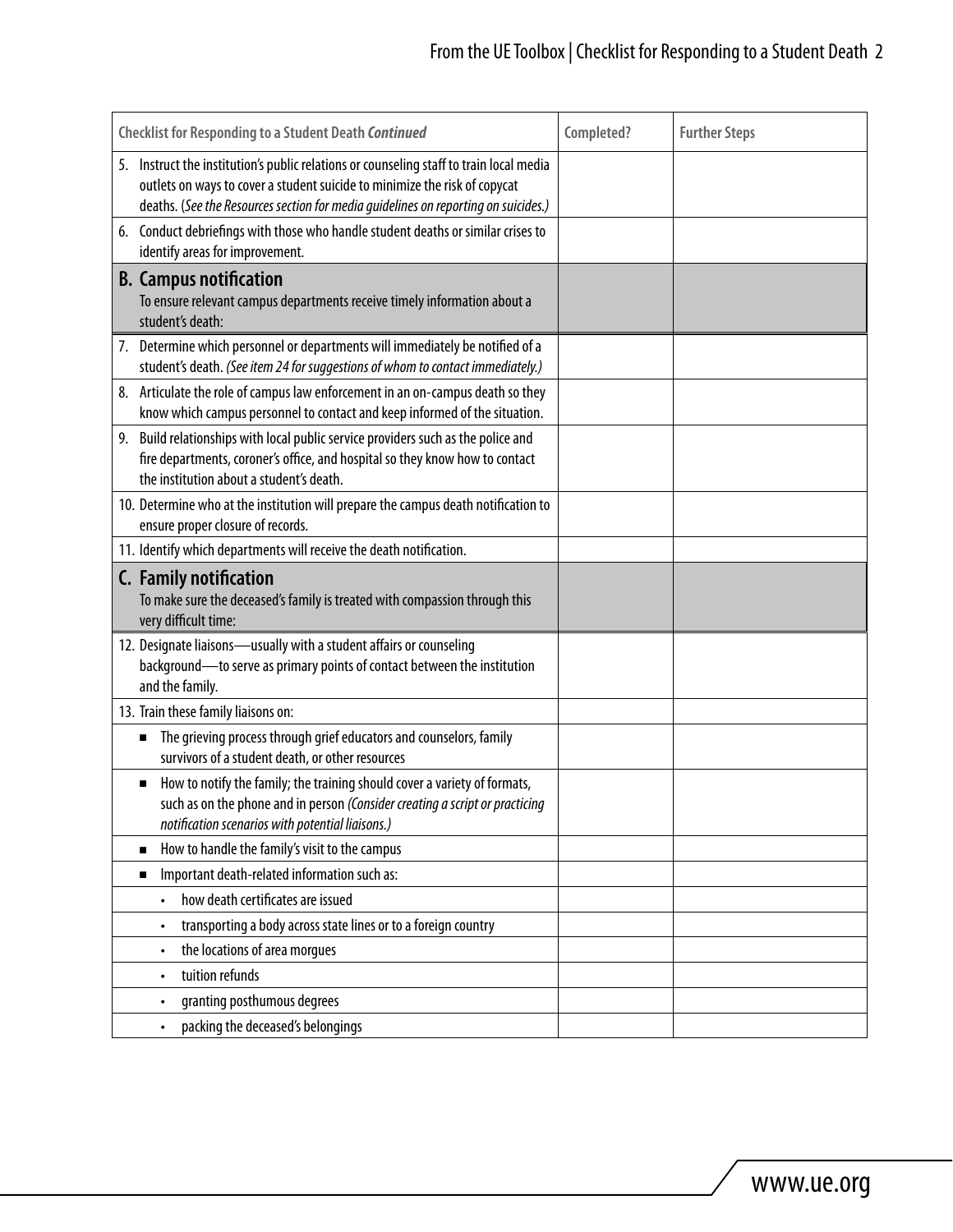| <b>Checklist for Responding to a Student Death Continued</b>                                                                                                                                                                                                | Completed? | <b>Further Steps</b> |
|-------------------------------------------------------------------------------------------------------------------------------------------------------------------------------------------------------------------------------------------------------------|------------|----------------------|
| 5. Instruct the institution's public relations or counseling staff to train local media<br>outlets on ways to cover a student suicide to minimize the risk of copycat<br>deaths. (See the Resources section for media guidelines on reporting on suicides.) |            |                      |
| 6. Conduct debriefings with those who handle student deaths or similar crises to<br>identify areas for improvement.                                                                                                                                         |            |                      |
| <b>B.</b> Campus notification<br>To ensure relevant campus departments receive timely information about a<br>student's death:                                                                                                                               |            |                      |
| 7. Determine which personnel or departments will immediately be notified of a<br>student's death. (See item 24 for suggestions of whom to contact immediately.)                                                                                             |            |                      |
| 8. Articulate the role of campus law enforcement in an on-campus death so they<br>know which campus personnel to contact and keep informed of the situation.                                                                                                |            |                      |
| 9. Build relationships with local public service providers such as the police and<br>fire departments, coroner's office, and hospital so they know how to contact<br>the institution about a student's death.                                               |            |                      |
| 10. Determine who at the institution will prepare the campus death notification to<br>ensure proper closure of records.                                                                                                                                     |            |                      |
| 11. Identify which departments will receive the death notification.                                                                                                                                                                                         |            |                      |
| C. Family notification<br>To make sure the deceased's family is treated with compassion through this<br>very difficult time:                                                                                                                                |            |                      |
| 12. Designate liaisons-usually with a student affairs or counseling<br>background-to serve as primary points of contact between the institution<br>and the family.                                                                                          |            |                      |
| 13. Train these family liaisons on:                                                                                                                                                                                                                         |            |                      |
| The grieving process through grief educators and counselors, family<br>п<br>survivors of a student death, or other resources                                                                                                                                |            |                      |
| How to notify the family; the training should cover a variety of formats,<br>п<br>such as on the phone and in person (Consider creating a script or practicing<br>notification scenarios with potential liaisons.)                                          |            |                      |
| How to handle the family's visit to the campus<br>п                                                                                                                                                                                                         |            |                      |
| Important death-related information such as:<br>п                                                                                                                                                                                                           |            |                      |
| how death certificates are issued                                                                                                                                                                                                                           |            |                      |
| transporting a body across state lines or to a foreign country<br>$\bullet$                                                                                                                                                                                 |            |                      |
| the locations of area morgues<br>$\bullet$                                                                                                                                                                                                                  |            |                      |
| tuition refunds<br>$\bullet$                                                                                                                                                                                                                                |            |                      |
| granting posthumous degrees<br>$\bullet$                                                                                                                                                                                                                    |            |                      |
| packing the deceased's belongings                                                                                                                                                                                                                           |            |                      |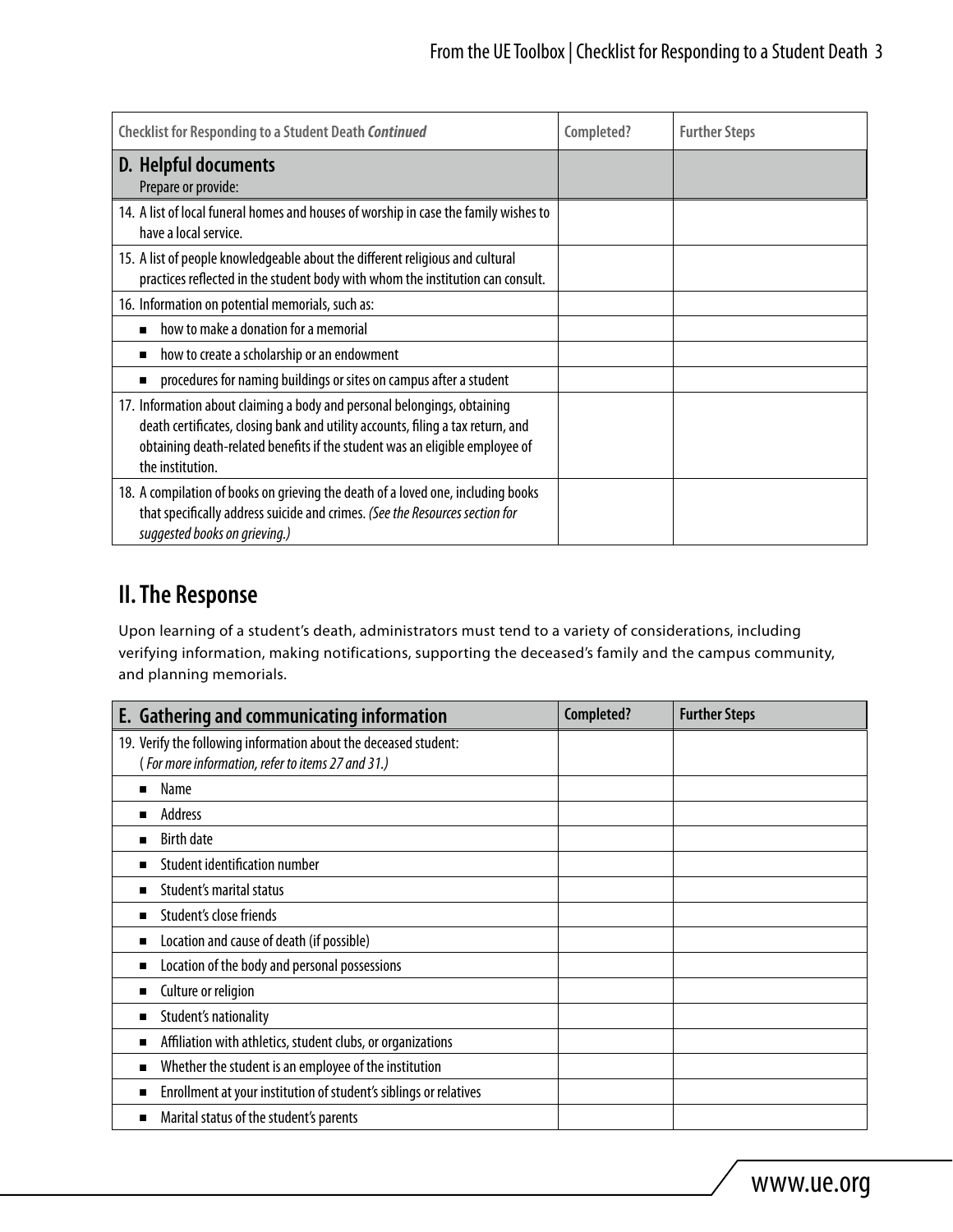| <b>Checklist for Responding to a Student Death Continued</b>                                                                                                                                                                                                   | Completed? | <b>Further Steps</b> |
|----------------------------------------------------------------------------------------------------------------------------------------------------------------------------------------------------------------------------------------------------------------|------------|----------------------|
| D. Helpful documents<br>Prepare or provide:                                                                                                                                                                                                                    |            |                      |
| 14. A list of local funeral homes and houses of worship in case the family wishes to<br>have a local service.                                                                                                                                                  |            |                      |
| 15. A list of people knowledgeable about the different religious and cultural<br>practices reflected in the student body with whom the institution can consult.                                                                                                |            |                      |
| 16. Information on potential memorials, such as:                                                                                                                                                                                                               |            |                      |
| how to make a donation for a memorial                                                                                                                                                                                                                          |            |                      |
| how to create a scholarship or an endowment<br>п                                                                                                                                                                                                               |            |                      |
| procedures for naming buildings or sites on campus after a student                                                                                                                                                                                             |            |                      |
| 17. Information about claiming a body and personal belongings, obtaining<br>death certificates, closing bank and utility accounts, filing a tax return, and<br>obtaining death-related benefits if the student was an eligible employee of<br>the institution. |            |                      |
| 18. A compilation of books on grieving the death of a loved one, including books<br>that specifically address suicide and crimes. (See the Resources section for<br>suggested books on grieving.)                                                              |            |                      |

### **II.The Response**

Upon learning of a student's death, administrators must tend to a variety of considerations, including verifying information, making notifications, supporting the deceased's family and the campus community, and planning memorials.

| E. Gathering and communicating information                        | Completed? | <b>Further Steps</b> |
|-------------------------------------------------------------------|------------|----------------------|
| 19. Verify the following information about the deceased student:  |            |                      |
| (For more information, refer to items 27 and 31.)                 |            |                      |
| Name<br>п                                                         |            |                      |
| Address<br>п                                                      |            |                      |
| <b>Birth date</b><br>п                                            |            |                      |
| <b>Student identification number</b><br>п                         |            |                      |
| Student's marital status<br>■                                     |            |                      |
| Student's close friends<br>п                                      |            |                      |
| Location and cause of death (if possible)<br>п                    |            |                      |
| Location of the body and personal possessions<br>п                |            |                      |
| Culture or religion<br>п                                          |            |                      |
| Student's nationality<br>п                                        |            |                      |
| Affiliation with athletics, student clubs, or organizations<br>п  |            |                      |
| Whether the student is an employee of the institution<br>п        |            |                      |
| Enrollment at your institution of student's siblings or relatives |            |                      |
| Marital status of the student's parents<br>п                      |            |                      |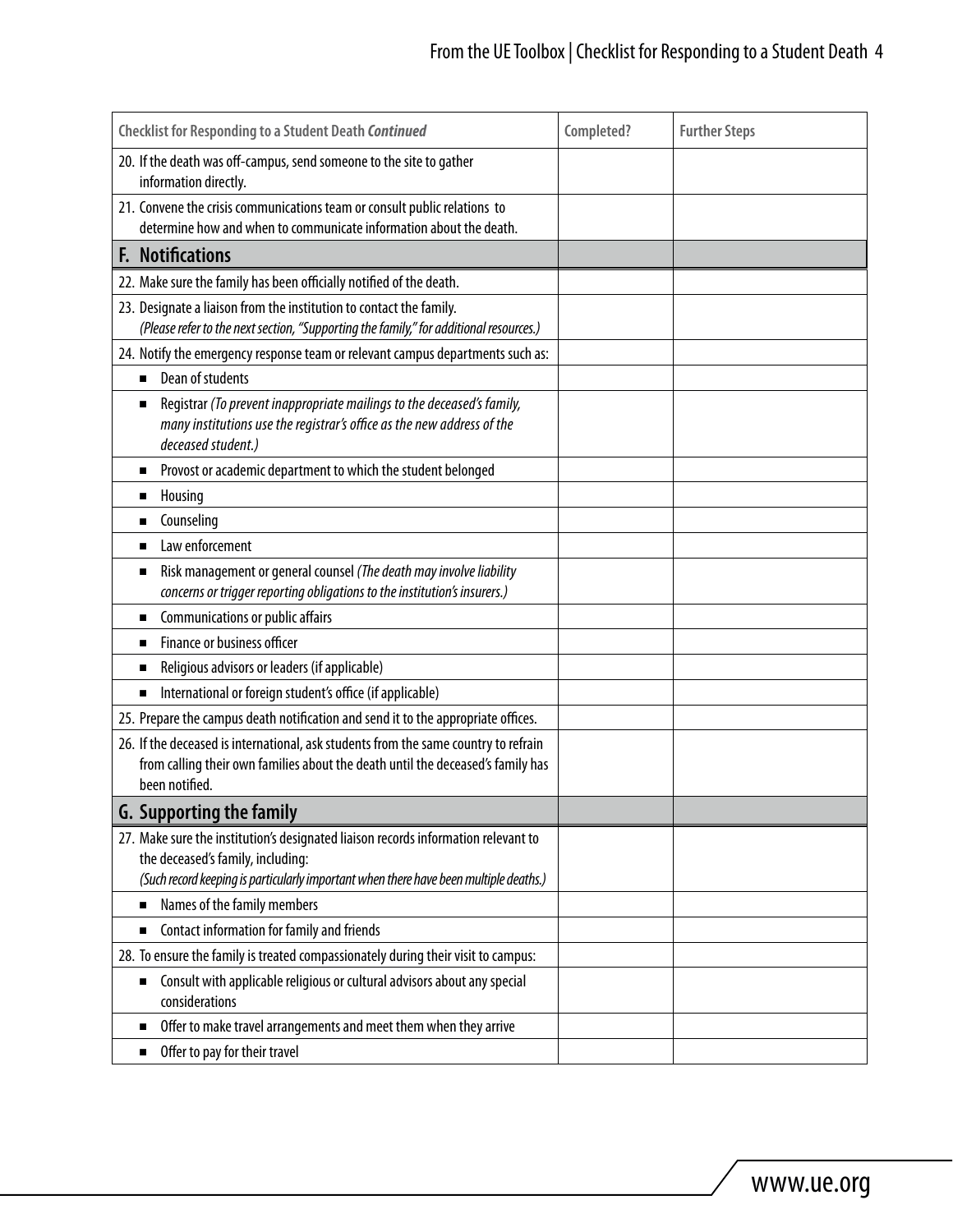| <b>Checklist for Responding to a Student Death Continued</b>                                                                                                                                                     | Completed? | <b>Further Steps</b> |
|------------------------------------------------------------------------------------------------------------------------------------------------------------------------------------------------------------------|------------|----------------------|
| 20. If the death was off-campus, send someone to the site to gather<br>information directly.                                                                                                                     |            |                      |
| 21. Convene the crisis communications team or consult public relations to<br>determine how and when to communicate information about the death.                                                                  |            |                      |
| <b>F. Notifications</b>                                                                                                                                                                                          |            |                      |
| 22. Make sure the family has been officially notified of the death.                                                                                                                                              |            |                      |
| 23. Designate a liaison from the institution to contact the family.<br>(Please refer to the next section, "Supporting the family," for additional resources.)                                                    |            |                      |
| 24. Notify the emergency response team or relevant campus departments such as:                                                                                                                                   |            |                      |
| Dean of students<br>п                                                                                                                                                                                            |            |                      |
| Registrar (To prevent inappropriate mailings to the deceased's family,<br>П<br>many institutions use the registrar's office as the new address of the<br>deceased student.)                                      |            |                      |
| Provost or academic department to which the student belonged<br>п                                                                                                                                                |            |                      |
| Housing<br>п                                                                                                                                                                                                     |            |                      |
| Counseling<br>п                                                                                                                                                                                                  |            |                      |
| Law enforcement<br>п                                                                                                                                                                                             |            |                      |
| Risk management or general counsel (The death may involve liability<br>П<br>concerns or trigger reporting obligations to the institution's insurers.)                                                            |            |                      |
| Communications or public affairs<br>п                                                                                                                                                                            |            |                      |
| Finance or business officer                                                                                                                                                                                      |            |                      |
| Religious advisors or leaders (if applicable)<br>п                                                                                                                                                               |            |                      |
| International or foreign student's office (if applicable)<br>■                                                                                                                                                   |            |                      |
| 25. Prepare the campus death notification and send it to the appropriate offices.                                                                                                                                |            |                      |
| 26. If the deceased is international, ask students from the same country to refrain<br>from calling their own families about the death until the deceased's family has<br>been notified.                         |            |                      |
| <b>G. Supporting the family</b>                                                                                                                                                                                  |            |                      |
| 27. Make sure the institution's designated liaison records information relevant to<br>the deceased's family, including:<br>(Such record keeping is particularly important when there have been multiple deaths.) |            |                      |
| Names of the family members                                                                                                                                                                                      |            |                      |
| Contact information for family and friends<br>п                                                                                                                                                                  |            |                      |
| 28. To ensure the family is treated compassionately during their visit to campus:                                                                                                                                |            |                      |
| Consult with applicable religious or cultural advisors about any special<br>п<br>considerations                                                                                                                  |            |                      |
| Offer to make travel arrangements and meet them when they arrive<br>п                                                                                                                                            |            |                      |
| Offer to pay for their travel<br>п                                                                                                                                                                               |            |                      |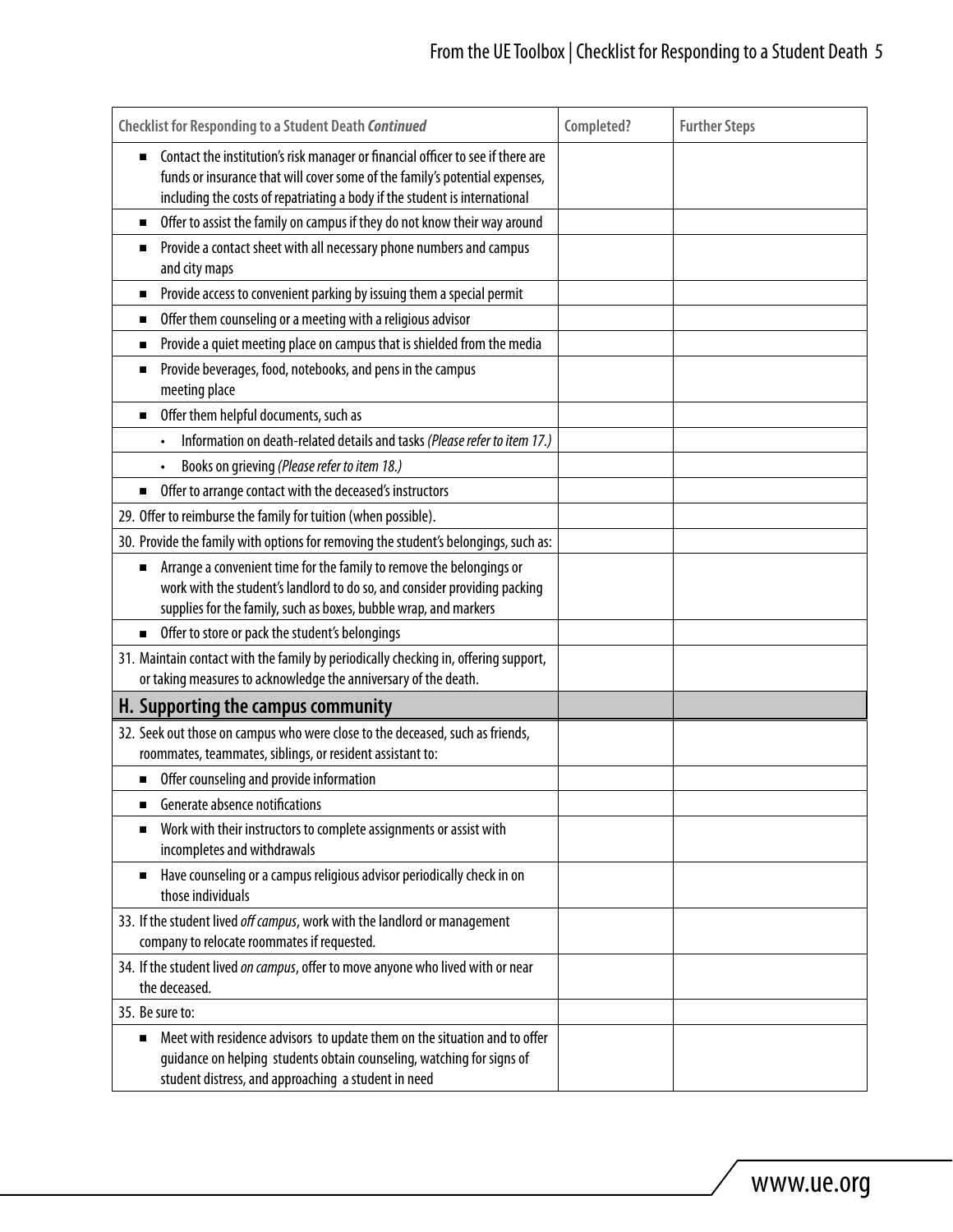| <b>Checklist for Responding to a Student Death Continued</b>                                                                                                                                                                                 | Completed? | <b>Further Steps</b> |
|----------------------------------------------------------------------------------------------------------------------------------------------------------------------------------------------------------------------------------------------|------------|----------------------|
| Contact the institution's risk manager or financial officer to see if there are<br>funds or insurance that will cover some of the family's potential expenses,<br>including the costs of repatriating a body if the student is international |            |                      |
| Offer to assist the family on campus if they do not know their way around                                                                                                                                                                    |            |                      |
| Provide a contact sheet with all necessary phone numbers and campus<br>п<br>and city maps                                                                                                                                                    |            |                      |
| Provide access to convenient parking by issuing them a special permit<br>п                                                                                                                                                                   |            |                      |
| Offer them counseling or a meeting with a religious advisor<br>п                                                                                                                                                                             |            |                      |
| Provide a quiet meeting place on campus that is shielded from the media<br>п                                                                                                                                                                 |            |                      |
| Provide beverages, food, notebooks, and pens in the campus<br>п<br>meeting place                                                                                                                                                             |            |                      |
| Offer them helpful documents, such as<br>п                                                                                                                                                                                                   |            |                      |
| Information on death-related details and tasks (Please refer to item 17.)                                                                                                                                                                    |            |                      |
| Books on grieving (Please refer to item 18.)                                                                                                                                                                                                 |            |                      |
| Offer to arrange contact with the deceased's instructors<br>п                                                                                                                                                                                |            |                      |
| 29. Offer to reimburse the family for tuition (when possible).                                                                                                                                                                               |            |                      |
| 30. Provide the family with options for removing the student's belongings, such as:                                                                                                                                                          |            |                      |
| Arrange a convenient time for the family to remove the belongings or<br>п<br>work with the student's landlord to do so, and consider providing packing<br>supplies for the family, such as boxes, bubble wrap, and markers                   |            |                      |
| Offer to store or pack the student's belongings                                                                                                                                                                                              |            |                      |
| 31. Maintain contact with the family by periodically checking in, offering support,<br>or taking measures to acknowledge the anniversary of the death.                                                                                       |            |                      |
| H. Supporting the campus community                                                                                                                                                                                                           |            |                      |
| 32. Seek out those on campus who were close to the deceased, such as friends,<br>roommates, teammates, siblings, or resident assistant to:                                                                                                   |            |                      |
| Offer counseling and provide information<br>п                                                                                                                                                                                                |            |                      |
| Generate absence notifications<br>п                                                                                                                                                                                                          |            |                      |
| Work with their instructors to complete assignments or assist with<br>incompletes and withdrawals                                                                                                                                            |            |                      |
| Have counseling or a campus religious advisor periodically check in on<br>those individuals                                                                                                                                                  |            |                      |
| 33. If the student lived off campus, work with the landlord or management<br>company to relocate roommates if requested.                                                                                                                     |            |                      |
| 34. If the student lived on campus, offer to move anyone who lived with or near<br>the deceased.                                                                                                                                             |            |                      |
| 35. Be sure to:                                                                                                                                                                                                                              |            |                      |
| Meet with residence advisors to update them on the situation and to offer<br>п<br>guidance on helping students obtain counseling, watching for signs of<br>student distress, and approaching a student in need                               |            |                      |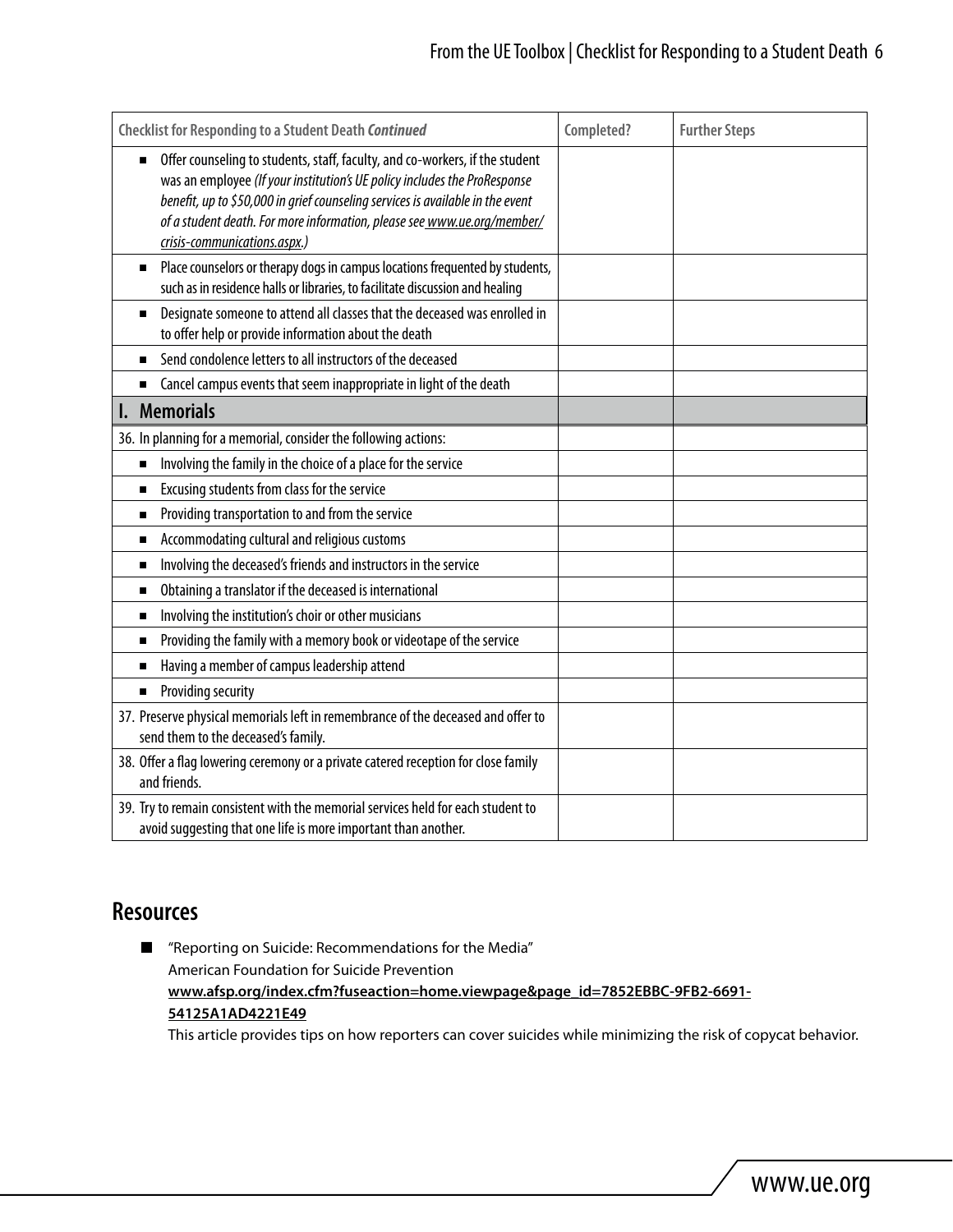| Checklist for Responding to a Student Death Continued                                                                                                                                                                                                                                                                                                  | Completed? | <b>Further Steps</b> |
|--------------------------------------------------------------------------------------------------------------------------------------------------------------------------------------------------------------------------------------------------------------------------------------------------------------------------------------------------------|------------|----------------------|
| Offer counseling to students, staff, faculty, and co-workers, if the student<br>was an employee (If your institution's UE policy includes the ProResponse<br>benefit, up to \$50,000 in grief counseling services is available in the event<br>of a student death. For more information, please see www.ue.org/member/<br>crisis-communications.aspx.) |            |                      |
| Place counselors or therapy dogs in campus locations frequented by students,<br>such as in residence halls or libraries, to facilitate discussion and healing                                                                                                                                                                                          |            |                      |
| Designate someone to attend all classes that the deceased was enrolled in<br>$\blacksquare$<br>to offer help or provide information about the death                                                                                                                                                                                                    |            |                      |
| Send condolence letters to all instructors of the deceased<br>$\blacksquare$                                                                                                                                                                                                                                                                           |            |                      |
| Cancel campus events that seem inappropriate in light of the death<br>п                                                                                                                                                                                                                                                                                |            |                      |
| <b>Memorials</b>                                                                                                                                                                                                                                                                                                                                       |            |                      |
| 36. In planning for a memorial, consider the following actions:                                                                                                                                                                                                                                                                                        |            |                      |
| Involving the family in the choice of a place for the service<br>$\blacksquare$                                                                                                                                                                                                                                                                        |            |                      |
| Excusing students from class for the service<br>п                                                                                                                                                                                                                                                                                                      |            |                      |
| Providing transportation to and from the service<br>п                                                                                                                                                                                                                                                                                                  |            |                      |
| Accommodating cultural and religious customs<br>п                                                                                                                                                                                                                                                                                                      |            |                      |
| Involving the deceased's friends and instructors in the service<br>п                                                                                                                                                                                                                                                                                   |            |                      |
| Obtaining a translator if the deceased is international<br>п                                                                                                                                                                                                                                                                                           |            |                      |
| Involving the institution's choir or other musicians<br>п                                                                                                                                                                                                                                                                                              |            |                      |
| Providing the family with a memory book or videotape of the service<br>п                                                                                                                                                                                                                                                                               |            |                      |
| Having a member of campus leadership attend<br>п                                                                                                                                                                                                                                                                                                       |            |                      |
| Providing security<br>п                                                                                                                                                                                                                                                                                                                                |            |                      |
| 37. Preserve physical memorials left in remembrance of the deceased and offer to<br>send them to the deceased's family.                                                                                                                                                                                                                                |            |                      |
| 38. Offer a flag lowering ceremony or a private catered reception for close family<br>and friends.                                                                                                                                                                                                                                                     |            |                      |
| 39. Try to remain consistent with the memorial services held for each student to<br>avoid suggesting that one life is more important than another.                                                                                                                                                                                                     |            |                      |

### **Resources**

■ "Reporting on Suicide: Recommendations for the Media" American Foundation for Suicide Prevention **[www.afsp.org/index.cfm?fuseaction=home.viewpage&page\\_id=7852EBBC-9FB2-6691-](http://www.afsp.org/index.cfm?fuseaction=home.viewpage&page_id=7852EBBC-9FB2-6691-54125A1AD4221E49) [54125A1AD4221E49](http://www.afsp.org/index.cfm?fuseaction=home.viewpage&page_id=7852EBBC-9FB2-6691-54125A1AD4221E49)**

This article provides tips on how reporters can cover suicides while minimizing the risk of copycat behavior.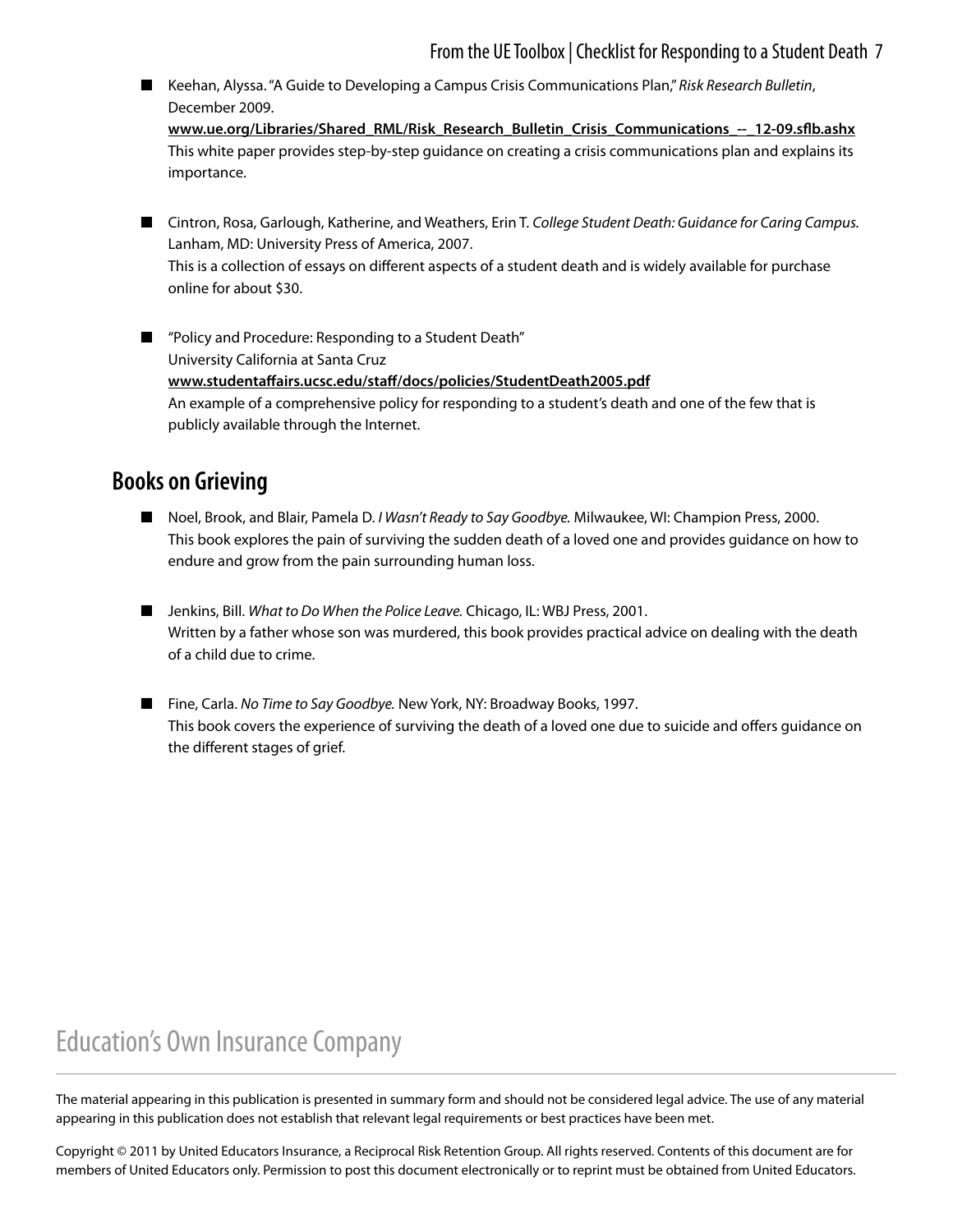### From the UE Toolbox | Checklist for Responding to a Student Death 7

■ Keehan, Alyssa. "A Guide to Developing a Campus Crisis Communications Plan," *Risk Research Bulletin*, December 2009.

**[www.ue.org/Libraries/Shared\\_RML/Risk\\_Research\\_Bulletin\\_Crisis\\_Communications\\_--\\_12-09.sflb.ashx](https://www.ue.org/Libraries/Shared_RML/Risk_Research_Bulletin_Crisis_Communications_--_12-09.sflb.ashx)** This white paper provides step-by-step guidance on creating a crisis communications plan and explains its importance.

■ Cintron, Rosa, Garlough, Katherine, and Weathers, Erin T. *College Student Death: Guidance for Caring Campus.* Lanham, MD: University Press of America, 2007. This is a collection of essays on different aspects of a student death and is widely available for purchase online for about \$30.

■ "Policy and Procedure: Responding to a Student Death" University California at Santa Cruz **www.[studentaffairs.ucsc.edu/staff/docs/policies/StudentDeath2005.pdf](http://studentaffairs.ucsc.edu/staff/docs/policies/StudentDeath2005.pdf)** An example of a comprehensive policy for responding to a student's death and one of the few that is publicly available through the Internet.

### **Books on Grieving**

- Noel, Brook, and Blair, Pamela D. *I Wasn't Ready to Say Goodbye*. Milwaukee, WI: Champion Press, 2000. This book explores the pain of surviving the sudden death of a loved one and provides guidance on how to endure and grow from the pain surrounding human loss.
- Jenkins, Bill. *What to Do When the Police Leave*. Chicago, IL: WBJ Press, 2001. Written by a father whose son was murdered, this book provides practical advice on dealing with the death of a child due to crime.
- Fine, Carla. *No Time to Say Goodbye*. New York, NY: Broadway Books, 1997. This book covers the experience of surviving the death of a loved one due to suicide and offers guidance on the different stages of grief.

### **Education's Own Insurance Company**

The material appearing in this publication is presented in summary form and should not be considered legal advice. The use of any material appearing in this publication does not establish that relevant legal requirements or best practices have been met.

Copyright © 2011 by United Educators Insurance, a Reciprocal Risk Retention Group. All rights reserved. Contents of this document are for members of United Educators only. Permission to post this document electronically or to reprint must be obtained from United Educators.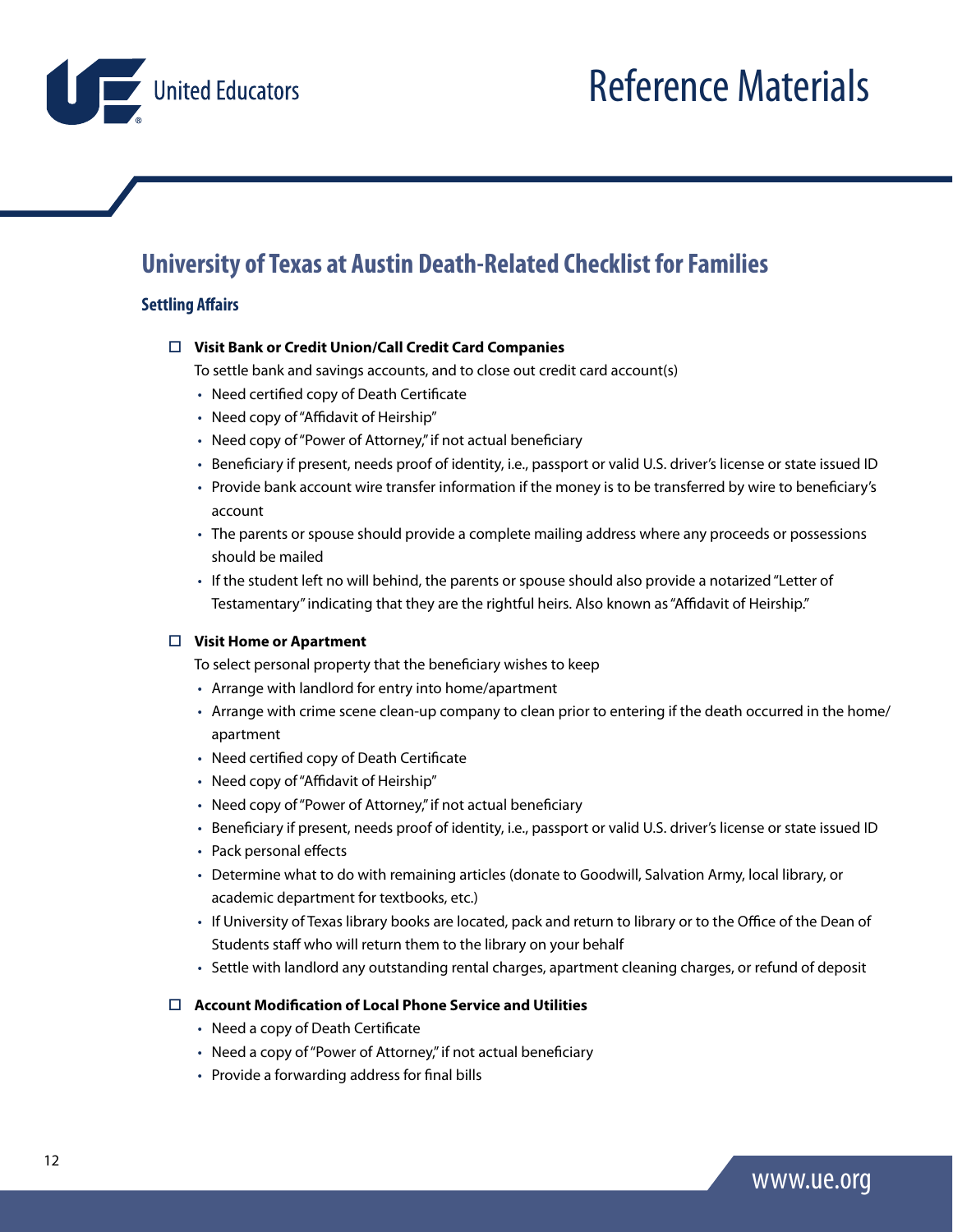<span id="page-11-0"></span>United Educators

### **University of Texas at Austin Death-Related Checklist for Families**

#### **Settling Affairs**

#### **Visit Bank or Credit Union/Call Credit Card Companies**

To settle bank and savings accounts, and to close out credit card account(s)

- Need certified copy of Death Certificate
- Need copy of "Affidavit of Heirship"
- Need copy of "Power of Attorney," if not actual beneficiary
- Beneficiary if present, needs proof of identity, i.e., passport or valid U.S. driver's license or state issued ID
- Provide bank account wire transfer information if the money is to be transferred by wire to beneficiary's account
- The parents or spouse should provide a complete mailing address where any proceeds or possessions should be mailed
- If the student left no will behind, the parents or spouse should also provide a notarized "Letter of Testamentary" indicating that they are the rightful heirs. Also known as "Affidavit of Heirship."

#### **Visit Home or Apartment**

To select personal property that the beneficiary wishes to keep

- Arrange with landlord for entry into home/apartment
- Arrange with crime scene clean-up company to clean prior to entering if the death occurred in the home/ apartment
- Need certified copy of Death Certificate
- Need copy of "Affidavit of Heirship"
- Need copy of "Power of Attorney," if not actual beneficiary
- Beneficiary if present, needs proof of identity, i.e., passport or valid U.S. driver's license or state issued ID
- Pack personal effects
- Determine what to do with remaining articles (donate to Goodwill, Salvation Army, local library, or academic department for textbooks, etc.)
- If University of Texas library books are located, pack and return to library or to the Office of the Dean of Students staff who will return them to the library on your behalf
- Settle with landlord any outstanding rental charges, apartment cleaning charges, or refund of deposit

#### **Account Modification of Local Phone Service and Utilities**

- Need a copy of Death Certificate
- Need a copy of "Power of Attorney," if not actual beneficiary
- Provide a forwarding address for final bills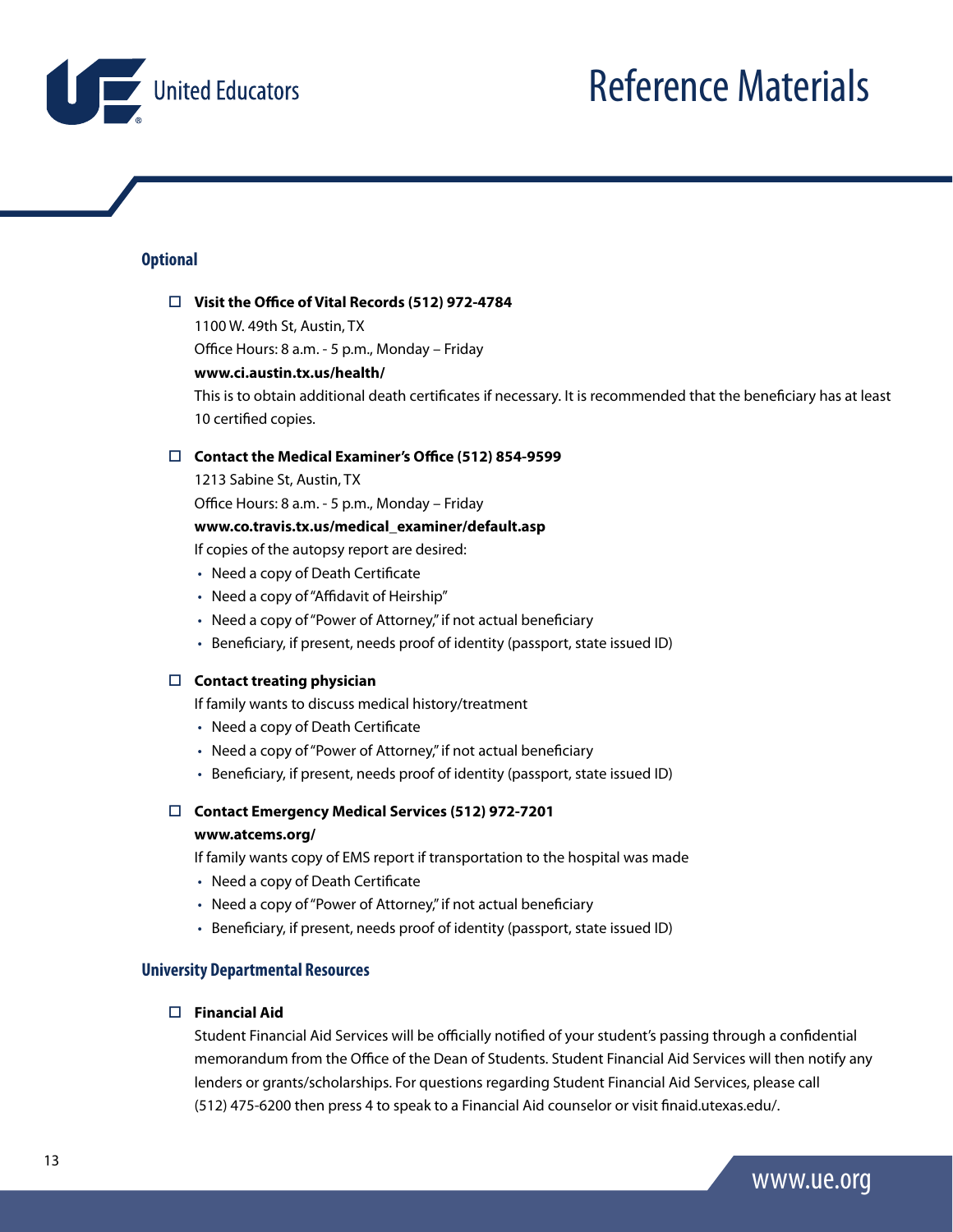

#### **Optional**

#### **Visit the Office of Vital Records (512) 972-4784**

1100 W. 49th St, Austin, TX

Office Hours: 8 a.m. - 5 p.m., Monday – Friday

#### **www.ci.austin.tx.us/health/**

This is to obtain additional death certificates if necessary. It is recommended that the beneficiary has at least 10 certified copies.

#### **Contact the Medical Examiner's Office (512) 854-9599**

1213 Sabine St, Austin, TX

Office Hours: 8 a.m. - 5 p.m., Monday – Friday

#### **www.co.travis.tx.us/medical\_examiner/default.asp**

If copies of the autopsy report are desired:

- Need a copy of Death Certificate
- Need a copy of "Affidavit of Heirship"
- Need a copy of "Power of Attorney," if not actual beneficiary
- Beneficiary, if present, needs proof of identity (passport, state issued ID)

#### **Contact treating physician**

If family wants to discuss medical history/treatment

- Need a copy of Death Certificate
- Need a copy of "Power of Attorney," if not actual beneficiary
- Beneficiary, if present, needs proof of identity (passport, state issued ID)

#### **Contact Emergency Medical Services (512) 972-7201**

#### **www.atcems.org/**

If family wants copy of EMS report if transportation to the hospital was made

- Need a copy of Death Certificate
- Need a copy of "Power of Attorney," if not actual beneficiary
- Beneficiary, if present, needs proof of identity (passport, state issued ID)

#### **University Departmental Resources**

#### **Financial Aid**

Student Financial Aid Services will be officially notified of your student's passing through a confidential memorandum from the Office of the Dean of Students. Student Financial Aid Services will then notify any lenders or grants/scholarships. For questions regarding Student Financial Aid Services, please call (512) 475-6200 then press 4 to speak to a Financial Aid counselor or visit finaid.utexas.edu/.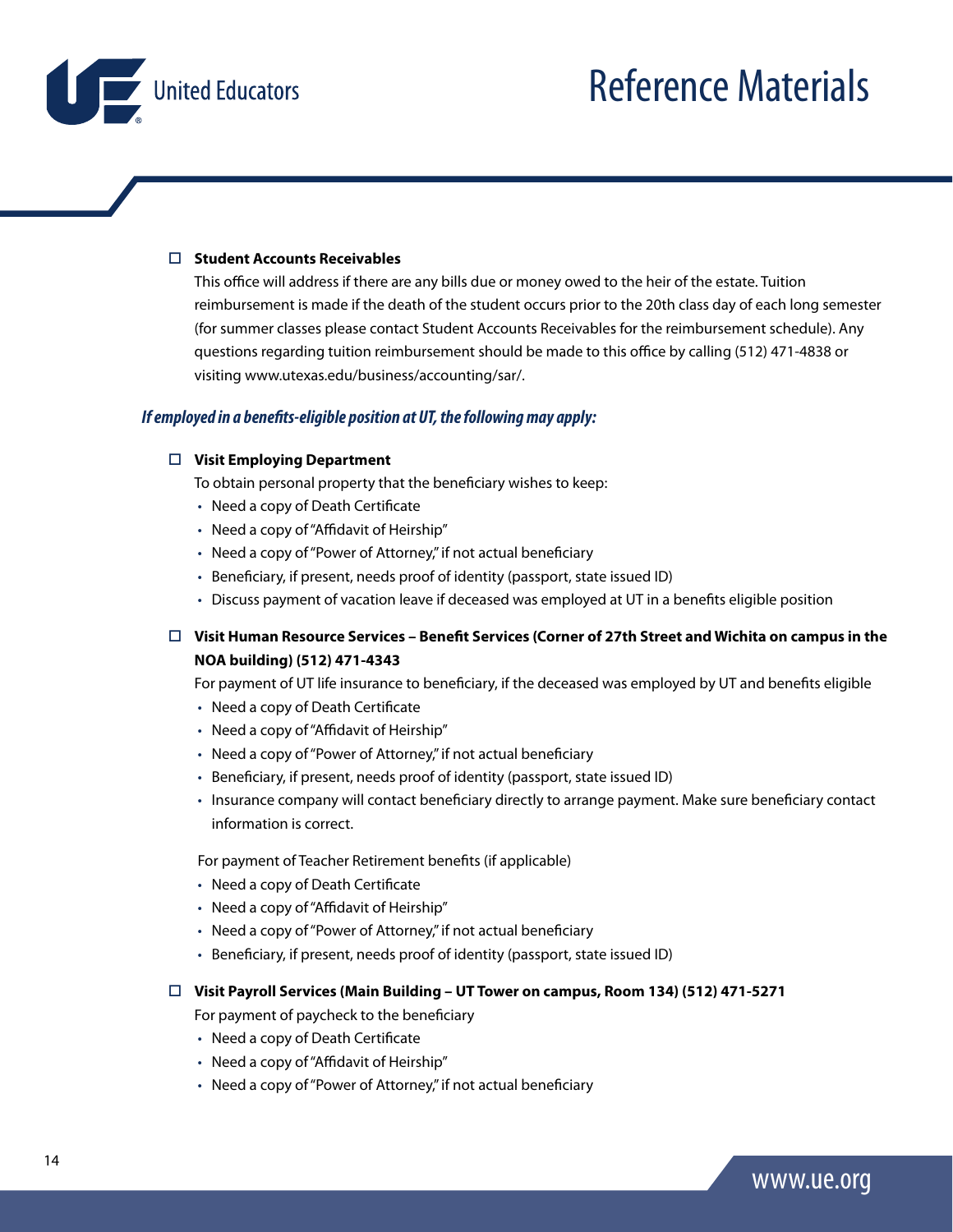United Educators

#### **Student Accounts Receivables**

This office will address if there are any bills due or money owed to the heir of the estate. Tuition reimbursement is made if the death of the student occurs prior to the 20th class day of each long semester (for summer classes please contact Student Accounts Receivables for the reimbursement schedule). Any questions regarding tuition reimbursement should be made to this office by calling (512) 471-4838 or visiting www.utexas.edu/business/accounting/sar/.

#### *If employed in a benefits-eligible position at UT, the following may apply:*

#### **Visit Employing Department**

To obtain personal property that the beneficiary wishes to keep:

- Need a copy of Death Certificate
- Need a copy of "Affidavit of Heirship"
- Need a copy of "Power of Attorney," if not actual beneficiary
- Beneficiary, if present, needs proof of identity (passport, state issued ID)
- Discuss payment of vacation leave if deceased was employed at UT in a benefits eligible position

#### **Visit Human Resource Services – Benefit Services (Corner of 27th Street and Wichita on campus in the NOA building) (512) 471-4343**

For payment of UT life insurance to beneficiary, if the deceased was employed by UT and benefits eligible

- Need a copy of Death Certificate
- Need a copy of "Affidavit of Heirship"
- Need a copy of "Power of Attorney," if not actual beneficiary
- Beneficiary, if present, needs proof of identity (passport, state issued ID)
- Insurance company will contact beneficiary directly to arrange payment. Make sure beneficiary contact information is correct.

For payment of Teacher Retirement benefits (if applicable)

- Need a copy of Death Certificate
- Need a copy of "Affidavit of Heirship"
- Need a copy of "Power of Attorney," if not actual beneficiary
- Beneficiary, if present, needs proof of identity (passport, state issued ID)

#### **Visit Payroll Services (Main Building – UT Tower on campus, Room 134) (512) 471-5271**

For payment of paycheck to the beneficiary

- Need a copy of Death Certificate
- Need a copy of "Affidavit of Heirship"
- Need a copy of "Power of Attorney," if not actual beneficiary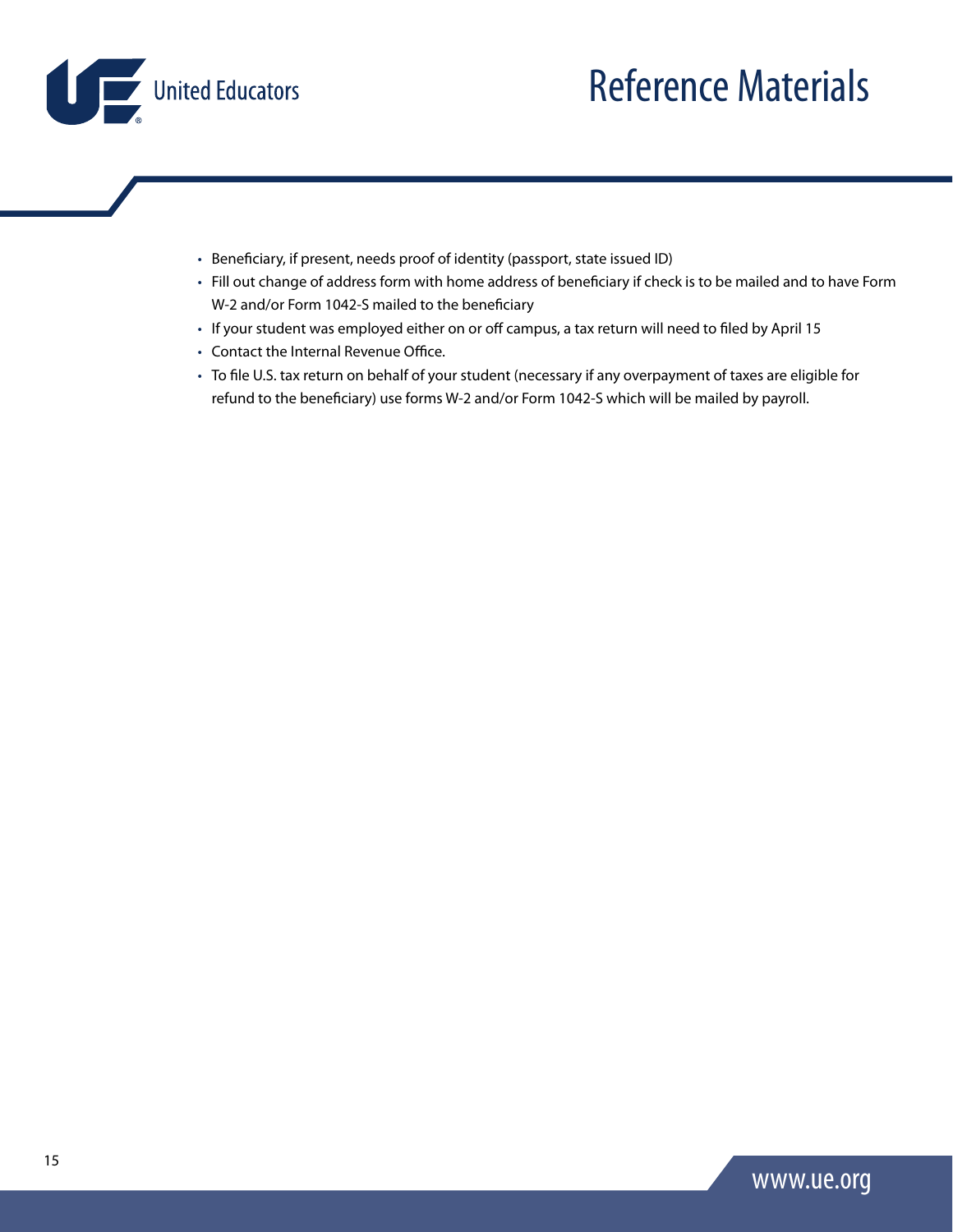

- Beneficiary, if present, needs proof of identity (passport, state issued ID)
- Fill out change of address form with home address of beneficiary if check is to be mailed and to have Form W-2 and/or Form 1042-S mailed to the beneficiary
- If your student was employed either on or off campus, a tax return will need to filed by April 15
- Contact the Internal Revenue Office.
- To file U.S. tax return on behalf of your student (necessary if any overpayment of taxes are eligible for refund to the beneficiary) use forms W-2 and/or Form 1042-S which will be mailed by payroll.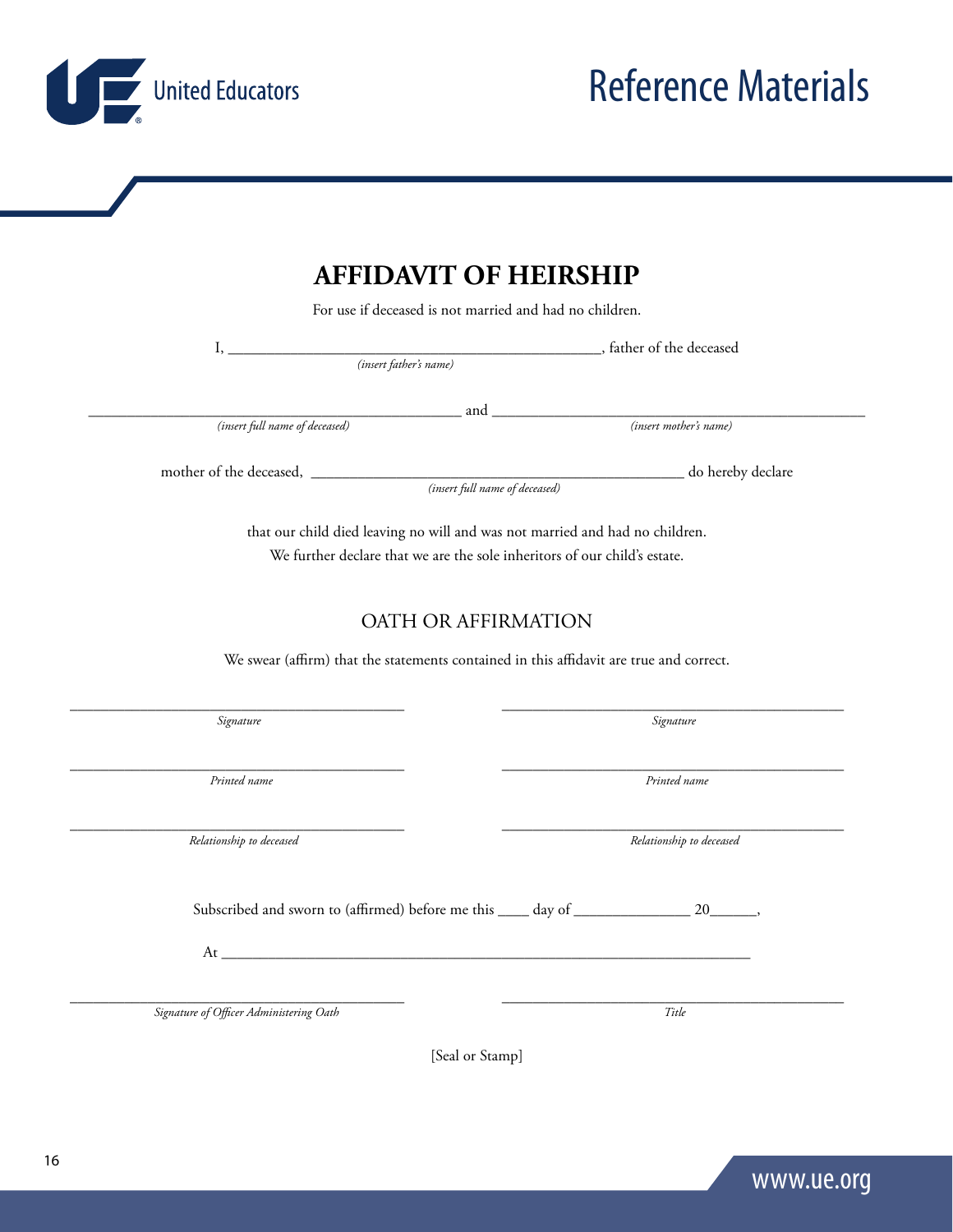### **AFFIDAVIT OF HEIRSHIP**

For use if deceased is not married and had no children.

*(insert father's name)*

*(insert full name of deceased) (insert mother's name)*

mother of the deceased, \_\_\_\_\_\_\_\_\_\_\_\_\_\_\_\_\_\_\_\_\_\_\_\_\_\_\_\_\_\_\_\_\_\_\_\_\_\_\_\_\_\_\_\_\_\_\_\_ do hereby declare

 *(insert full name of deceased)*

that our child died leaving no will and was not married and had no children. We further declare that we are the sole inheritors of our child's estate.

#### OATH OR AFFIRMATION

We swear (affirm) that the statements contained in this affidavit are true and correct.

*Relationship to deceased Relationship to deceased*

Subscribed and sworn to (affirmed) before me this \_\_\_\_ day of \_\_\_\_\_\_\_\_\_\_\_\_\_\_\_\_\_ 20\_\_\_\_\_\_,

 $\rm{At}$ 

*Signature of Officer Administering Oath Title*

[Seal or Stamp]

\_\_\_\_\_\_\_\_\_\_\_\_\_\_\_\_\_\_\_\_\_\_\_\_\_\_\_\_\_\_\_\_\_\_\_\_\_\_\_\_\_\_\_ \_\_\_\_\_\_\_\_\_\_\_\_\_\_\_\_\_\_\_\_\_\_\_\_\_\_\_\_\_\_\_\_\_\_\_\_\_\_\_\_\_\_\_\_



\_\_\_\_\_\_\_\_\_\_\_\_\_\_\_\_\_\_\_\_\_\_\_\_\_\_\_\_\_\_\_\_\_\_\_\_\_\_\_\_\_\_\_ \_\_\_\_\_\_\_\_\_\_\_\_\_\_\_\_\_\_\_\_\_\_\_\_\_\_\_\_\_\_\_\_\_\_\_\_\_\_\_\_\_\_\_\_

\_\_\_\_\_\_\_\_\_\_\_\_\_\_\_\_\_\_\_\_\_\_\_\_\_\_\_\_\_\_\_\_\_\_\_\_\_\_\_\_\_\_\_ \_\_\_\_\_\_\_\_\_\_\_\_\_\_\_\_\_\_\_\_\_\_\_\_\_\_\_\_\_\_\_\_\_\_\_\_\_\_\_\_\_\_\_\_

*Printed name Printed name*

\_\_\_\_\_\_\_\_\_\_\_\_\_\_\_\_\_\_\_\_\_\_\_\_\_\_\_\_\_\_\_\_\_\_\_\_\_\_\_\_\_\_\_\_\_\_\_\_ and \_\_\_\_\_\_\_\_\_\_\_\_\_\_\_\_\_\_\_\_\_\_\_\_\_\_\_\_\_\_\_\_\_\_\_\_\_\_\_\_\_\_\_\_\_\_\_\_

United Educators

*Signature Signature*

\_\_\_\_\_\_\_\_\_\_\_\_\_\_\_\_\_\_\_\_\_\_\_\_\_\_\_\_\_\_\_\_\_\_\_\_\_\_\_\_\_\_\_ \_\_\_\_\_\_\_\_\_\_\_\_\_\_\_\_\_\_\_\_\_\_\_\_\_\_\_\_\_\_\_\_\_\_\_\_\_\_\_\_\_\_\_\_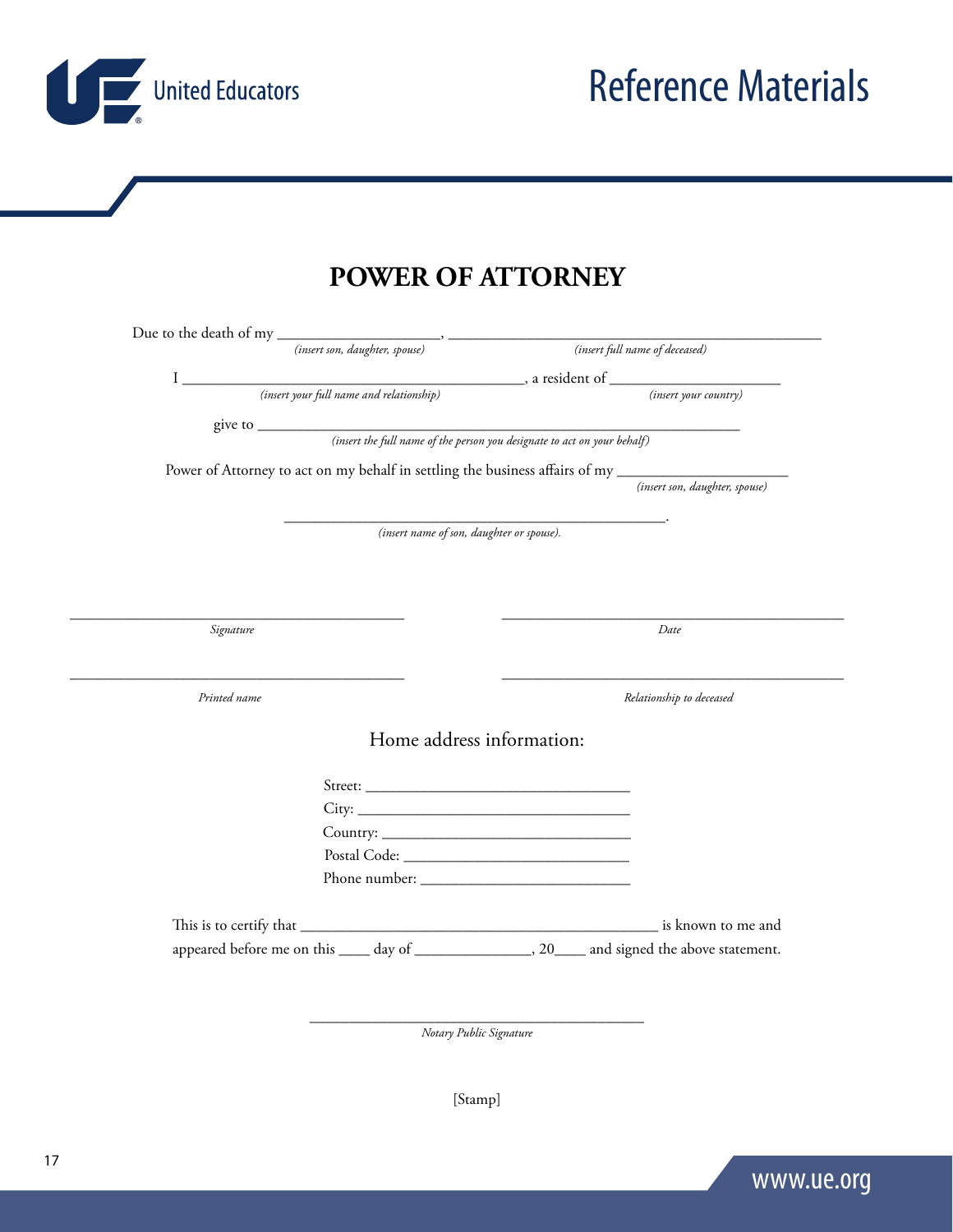United Educators

**POWER OF ATTORNEY**

|              |                                           | Power of Attorney to act on my behalf in settling the business affairs of my _______________________ |
|--------------|-------------------------------------------|------------------------------------------------------------------------------------------------------|
|              |                                           | (insert son, daughter, spouse)                                                                       |
|              |                                           |                                                                                                      |
|              | (insert name of son, daughter or spouse). |                                                                                                      |
|              |                                           |                                                                                                      |
|              |                                           |                                                                                                      |
|              |                                           |                                                                                                      |
| Signature    |                                           | Date                                                                                                 |
|              |                                           |                                                                                                      |
|              |                                           |                                                                                                      |
| Printed name |                                           | Relationship to deceased                                                                             |
|              |                                           |                                                                                                      |
|              | Home address information:                 |                                                                                                      |
|              |                                           |                                                                                                      |
|              |                                           |                                                                                                      |
|              |                                           |                                                                                                      |
|              |                                           |                                                                                                      |
|              |                                           |                                                                                                      |
|              |                                           |                                                                                                      |
|              |                                           |                                                                                                      |
|              |                                           |                                                                                                      |
|              |                                           |                                                                                                      |

*Notary Public Signature* 

[Stamp]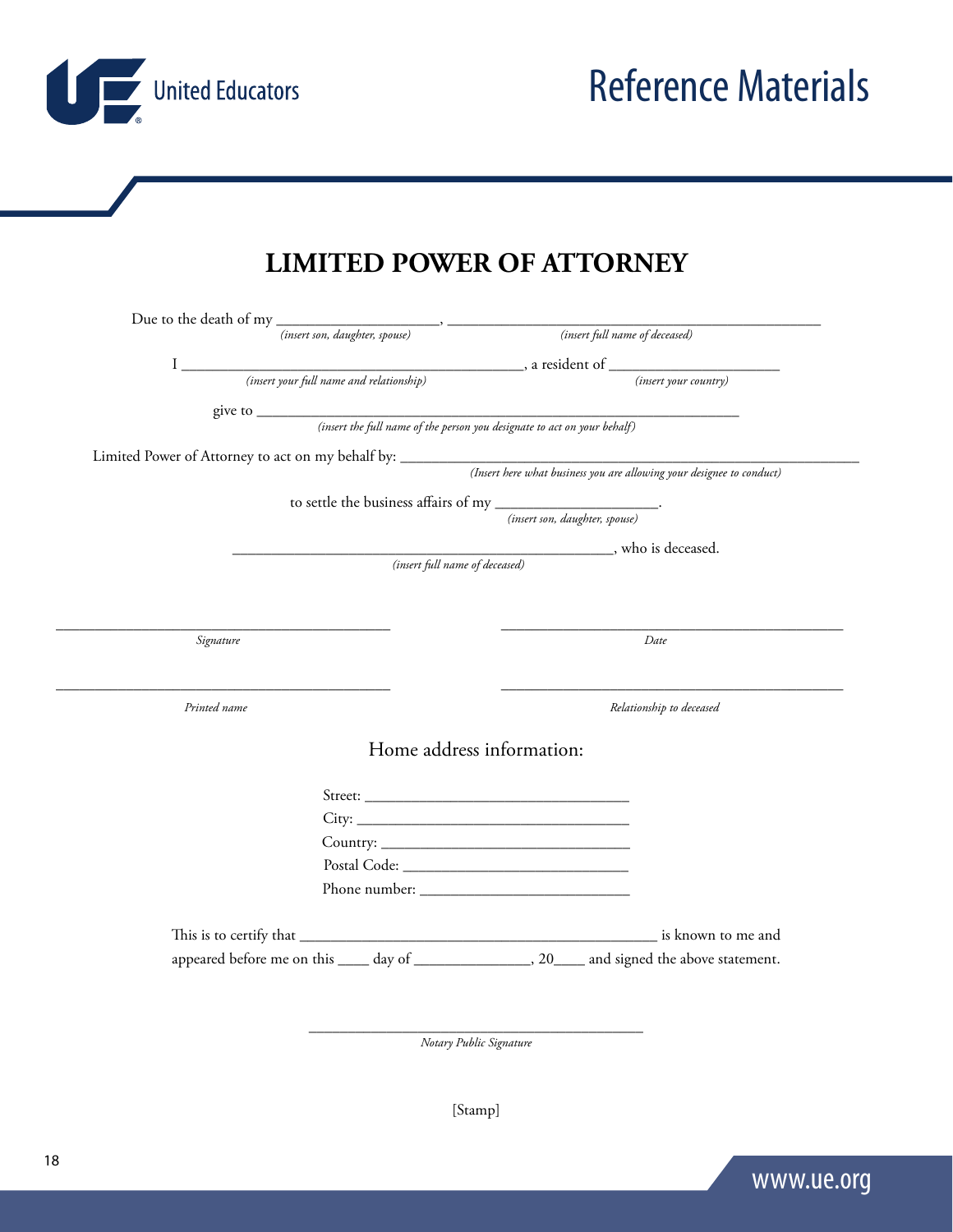United Educators

Reference Materials

### **LIMITED POWER OF ATTORNEY**

|              | (insert full name of deceased)                                                                                                                              |
|--------------|-------------------------------------------------------------------------------------------------------------------------------------------------------------|
|              |                                                                                                                                                             |
|              | (insert your country)                                                                                                                                       |
|              |                                                                                                                                                             |
|              |                                                                                                                                                             |
|              |                                                                                                                                                             |
|              |                                                                                                                                                             |
|              | to settle the business affairs of my ______________________.                                                                                                |
|              | (insert son, daughter, spouse)                                                                                                                              |
|              | $\dfrac{\textcolor{blue}{\textbf{(insert full name of decreased)}}}{\textcolor{blue}{\textbf{(insert full name of decreased)}}}, \text{ who is decreased.}$ |
|              |                                                                                                                                                             |
|              |                                                                                                                                                             |
|              |                                                                                                                                                             |
|              |                                                                                                                                                             |
| Signature    | Date                                                                                                                                                        |
|              |                                                                                                                                                             |
|              |                                                                                                                                                             |
| Printed name | Relationship to deceased                                                                                                                                    |
|              |                                                                                                                                                             |
|              | Home address information:                                                                                                                                   |
|              |                                                                                                                                                             |
|              |                                                                                                                                                             |
|              | $City: ____________$                                                                                                                                        |
|              |                                                                                                                                                             |
|              |                                                                                                                                                             |
|              |                                                                                                                                                             |
|              |                                                                                                                                                             |

\_\_\_\_\_\_\_\_\_\_\_\_\_\_\_\_\_\_\_\_\_\_\_\_\_\_\_\_\_\_\_\_\_\_\_\_\_\_\_\_\_\_\_ *Notary Public Signature* 

[Stamp]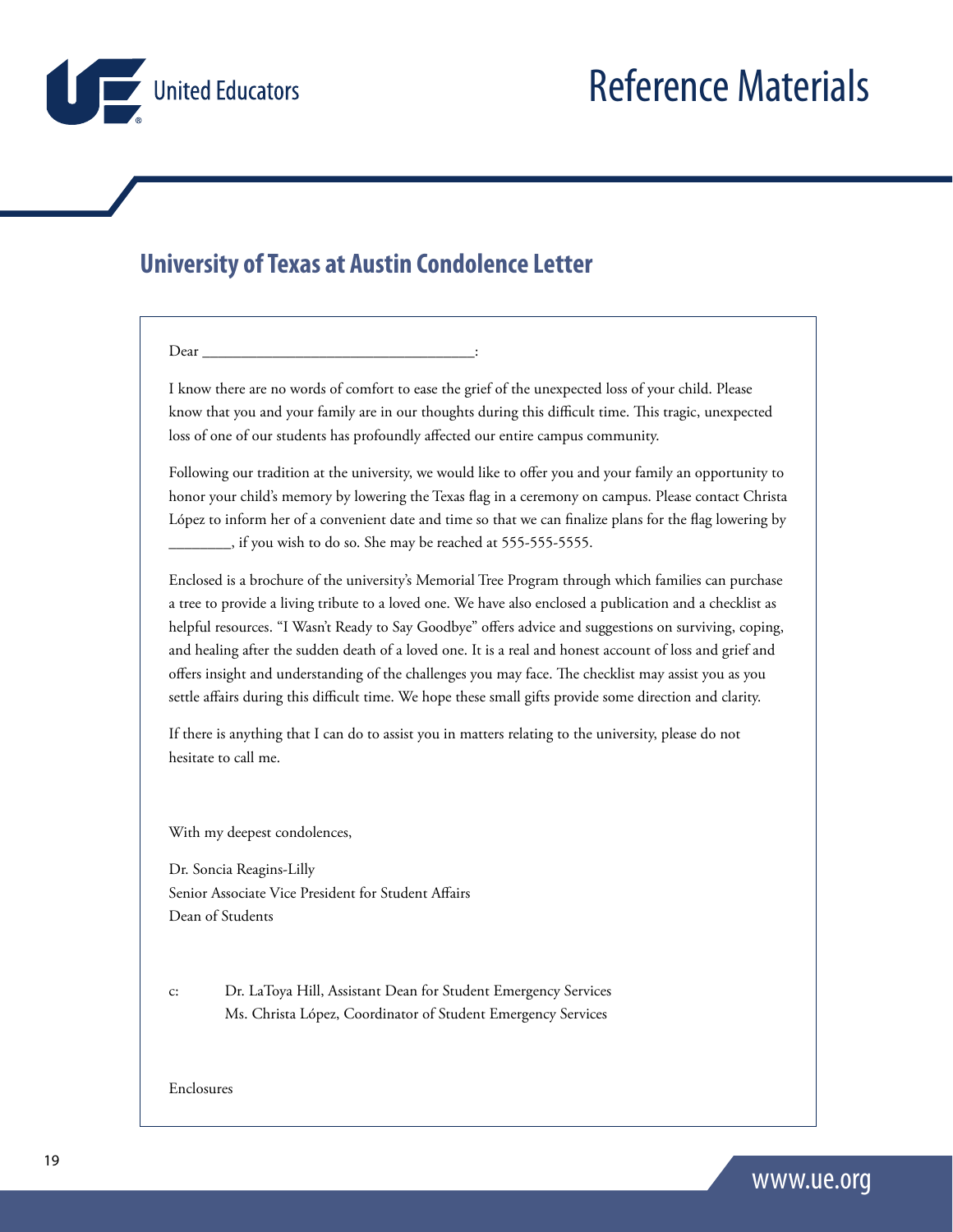<span id="page-18-0"></span>

### **University of Texas at Austin Condolence Letter**

#### $Dear$   $\overline{\phantom{a}}$

I know there are no words of comfort to ease the grief of the unexpected loss of your child. Please know that you and your family are in our thoughts during this difficult time. This tragic, unexpected loss of one of our students has profoundly affected our entire campus community.

Following our tradition at the university, we would like to offer you and your family an opportunity to honor your child's memory by lowering the Texas flag in a ceremony on campus. Please contact Christa López to inform her of a convenient date and time so that we can finalize plans for the flag lowering by \_\_\_\_\_\_\_\_, if you wish to do so. She may be reached at 555-555-5555.

Enclosed is a brochure of the university's Memorial Tree Program through which families can purchase a tree to provide a living tribute to a loved one. We have also enclosed a publication and a checklist as helpful resources. "I Wasn't Ready to Say Goodbye" offers advice and suggestions on surviving, coping, and healing after the sudden death of a loved one. It is a real and honest account of loss and grief and offers insight and understanding of the challenges you may face. The checklist may assist you as you settle affairs during this difficult time. We hope these small gifts provide some direction and clarity.

If there is anything that I can do to assist you in matters relating to the university, please do not hesitate to call me.

With my deepest condolences,

Dr. Soncia Reagins-Lilly Senior Associate Vice President for Student Affairs Dean of Students

c: Dr. LaToya Hill, Assistant Dean for Student Emergency Services Ms. Christa López, Coordinator of Student Emergency Services

#### Enclosures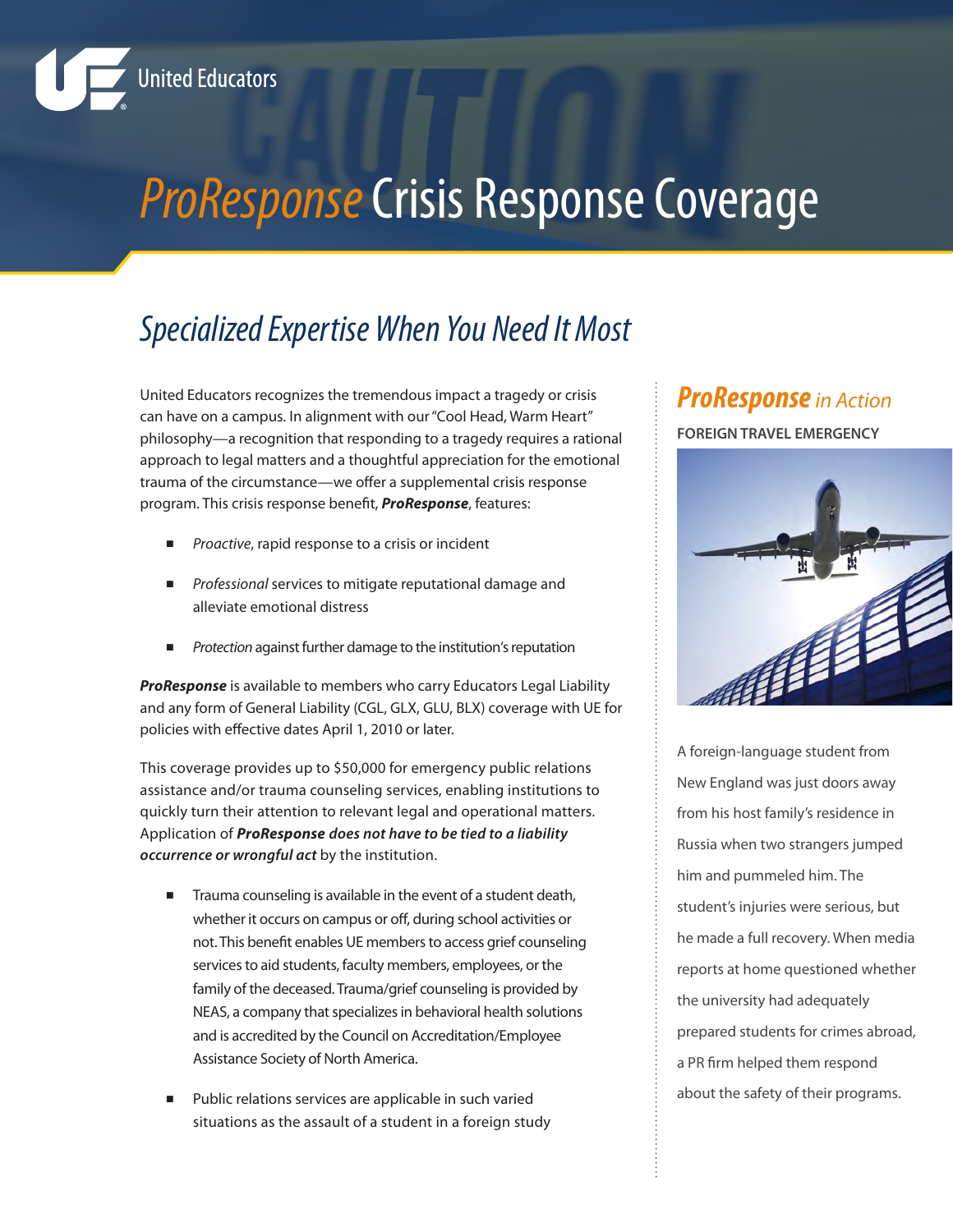<span id="page-19-0"></span>

## **ProResponse Crisis Response Coverage**

## *Specialized Expertise When You Need It Most*

United Educators recognizes the tremendous impact a tragedy or crisis can have on a campus. In alignment with our "Cool Head, Warm Heart" philosophy—a recognition that responding to a tragedy requires a rational approach to legal matters and a thoughtful appreciation for the emotional trauma of the circumstance—we offer a supplemental crisis response program. This crisis response benefit, *ProResponse*, features:

- Proactive, rapid response to a crisis or incident
- *Professional* services to mitigate reputational damage and alleviate emotional distress
- **Protection** against further damage to the institution's reputation

*ProResponse* is available to members who carry Educators Legal Liability and any form of General Liability (CGL, GLX, GLU, BLX) coverage with UE for policies with effective dates April 1, 2010 or later.

This coverage provides up to \$50,000 for emergency public relations assistance and/or trauma counseling services, enabling institutions to quickly turn their attention to relevant legal and operational matters. Application of *ProResponse does not have to be tied to a liability occurrence or wrongful act* by the institution.

- Trauma counseling is available in the event of a student death, whether it occurs on campus or off, during school activities or not. This benefit enables UE members to access grief counseling services to aid students, faculty members, employees, or the family of the deceased. Trauma/grief counseling is provided by NEAS, a company that specializes in behavioral health solutions and is accredited by the Council on Accreditation/Employee Assistance Society of North America.
- Public relations services are applicable in such varied situations as the assault of a student in a foreign study

### *ProResponse in Action*

**FOREIGN TRAVEL EMERGENCY**



A foreign-language student from New England was just doors away from his host family's residence in Russia when two strangers jumped him and pummeled him. The student's injuries were serious, but he made a full recovery. When media reports at home questioned whether the university had adequately prepared students for crimes abroad, a PR firm helped them respond about the safety of their programs.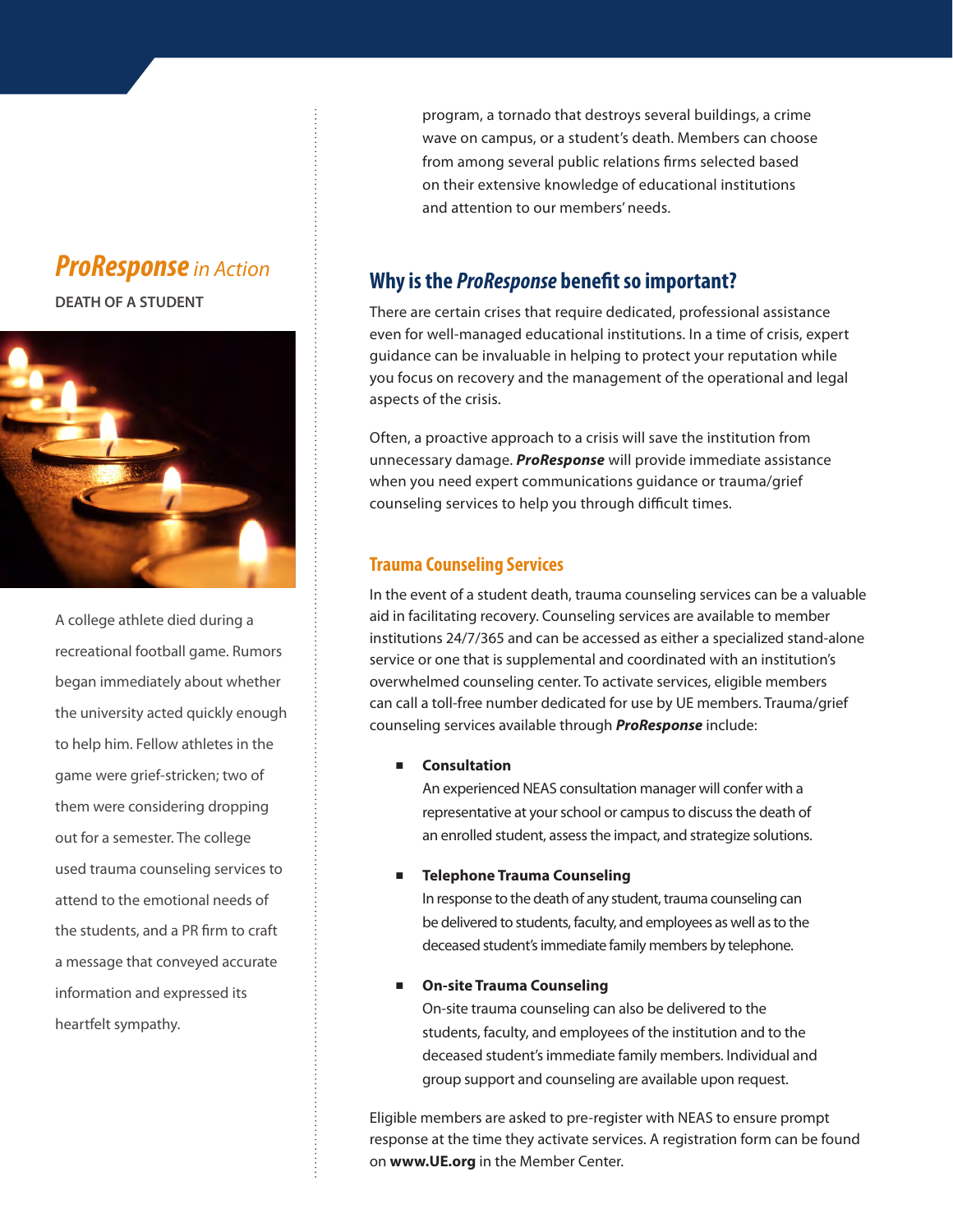### *ProResponse in Action*

**DEATH OF A STUDENT**



A college athlete died during a recreational football game. Rumors began immediately about whether the university acted quickly enough to help him. Fellow athletes in the game were grief-stricken; two of them were considering dropping out for a semester. The college used trauma counseling services to attend to the emotional needs of the students, and a PR firm to craft a message that conveyed accurate information and expressed its heartfelt sympathy.

program, a tornado that destroys several buildings, a crime wave on campus, or a student's death. Members can choose from among several public relations firms selected based on their extensive knowledge of educational institutions and attention to our members' needs.

### **Why is the** *ProResponse* **benefit so important?**

There are certain crises that require dedicated, professional assistance even for well-managed educational institutions. In a time of crisis, expert guidance can be invaluable in helping to protect your reputation while you focus on recovery and the management of the operational and legal aspects of the crisis.

Often, a proactive approach to a crisis will save the institution from unnecessary damage. *ProResponse* will provide immediate assistance when you need expert communications guidance or trauma/grief counseling services to help you through difficult times.

#### **Trauma Counseling Services**

In the event of a student death, trauma counseling services can be a valuable aid in facilitating recovery. Counseling services are available to member institutions 24/7/365 and can be accessed as either a specialized stand-alone service or one that is supplemental and coordinated with an institution's overwhelmed counseling center. To activate services, eligible members can call a toll-free number dedicated for use by UE members. Trauma/grief counseling services available through *ProResponse* include:

#### ■ **Consultation**

An experienced NEAS consultation manager will confer with a representative at your school or campus to discuss the death of an enrolled student, assess the impact, and strategize solutions.

#### ■ **Telephone Trauma Counseling**

In response to the death of any student, trauma counseling can be delivered to students, faculty, and employees as well as to the deceased student's immediate family members by telephone.

#### ■ **On-site Trauma Counseling**

On-site trauma counseling can also be delivered to the students, faculty, and employees of the institution and to the deceased student's immediate family members. Individual and group support and counseling are available upon request.

Eligible members are asked to pre-register with NEAS to ensure prompt response at the time they activate services. A registration form can be found on **www.UE.org** in the Member Center.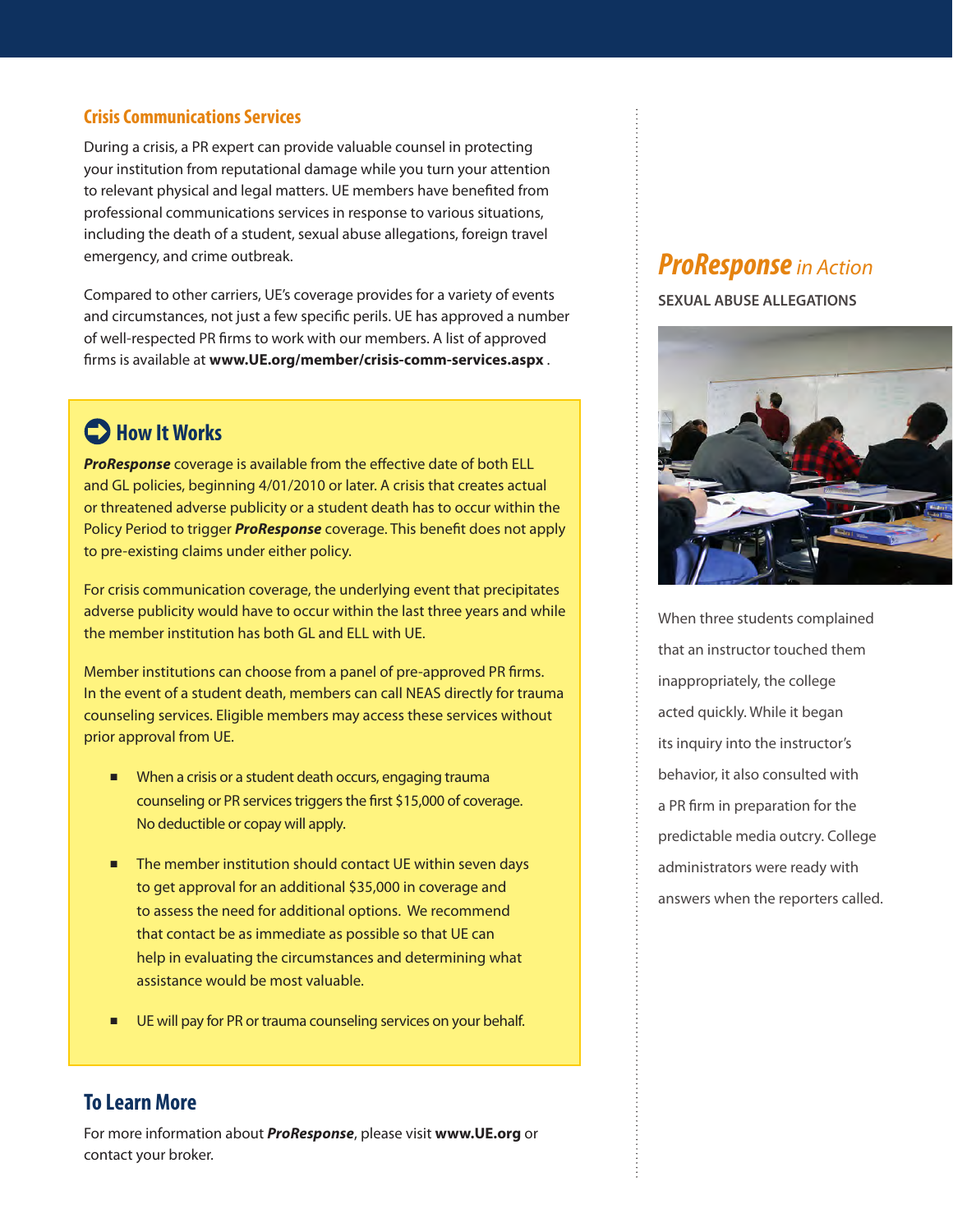#### **Crisis Communications Services**

During a crisis, a PR expert can provide valuable counsel in protecting your institution from reputational damage while you turn your attention to relevant physical and legal matters. UE members have benefited from professional communications services in response to various situations, including the death of a student, sexual abuse allegations, foreign travel emergency, and crime outbreak.

Compared to other carriers, UE's coverage provides for a variety of events and circumstances, not just a few specific perils. UE has approved a number of well-respected PR firms to work with our members. A list of approved firms is available at **www.UE.org/member/[crisis-comm-services.aspx](https://www.ue.org/member/crisis-comm-services.aspx)** .

### **C**>How It Works

*ProResponse* coverage is available from the effective date of both ELL and GL policies, beginning 4/01/2010 or later. A crisis that creates actual or threatened adverse publicity or a student death has to occur within the Policy Period to trigger *ProResponse* coverage. This benefit does not apply to pre-existing claims under either policy.

For crisis communication coverage, the underlying event that precipitates adverse publicity would have to occur within the last three years and while the member institution has both GL and ELL with UE.

Member institutions can choose from a panel of pre-approved PR firms. In the event of a student death, members can call NEAS directly for trauma counseling services. Eligible members may access these services without prior approval from UE.

- When a crisis or a student death occurs, engaging trauma counseling or PR services triggers the first \$15,000 of coverage. No deductible or copay will apply.
- The member institution should contact UE within seven days to get approval for an additional \$35,000 in coverage and to assess the need for additional options. We recommend that contact be as immediate as possible so that UE can help in evaluating the circumstances and determining what assistance would be most valuable.
- UE will pay for PR or trauma counseling services on your behalf.

#### **To Learn More**

For more information about *ProResponse*, please visit **www.UE.org** or contact your broker.

### *ProResponse in Action*

**SEXUAL ABUSE ALLEGATIONS**



When three students complained that an instructor touched them inappropriately, the college acted quickly. While it began its inquiry into the instructor's behavior, it also consulted with a PR firm in preparation for the predictable media outcry. College administrators were ready with answers when the reporters called.